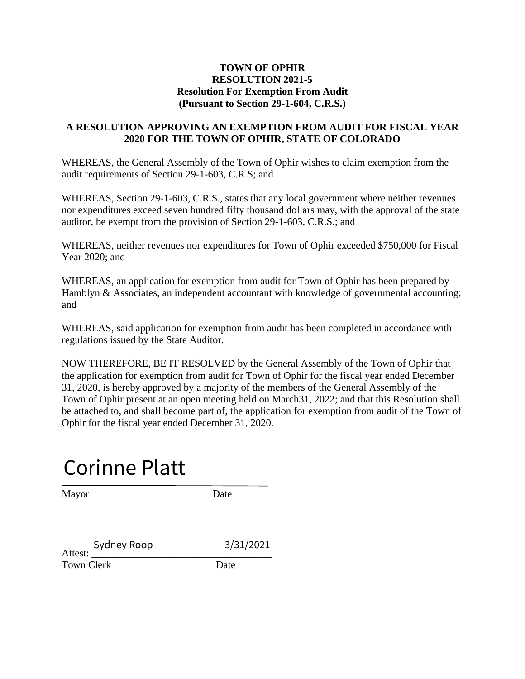#### **TOWN OF OPHIR RESOLUTION 2021-5 Resolution For Exemption From Audit (Pursuant to Section 29-1-604, C.R.S.)**

### **A RESOLUTION APPROVING AN EXEMPTION FROM AUDIT FOR FISCAL YEAR 2020 FOR THE TOWN OF OPHIR, STATE OF COLORADO**

WHEREAS, the General Assembly of the Town of Ophir wishes to claim exemption from the audit requirements of Section 29-1-603, C.R.S; and

WHEREAS, Section 29-1-603, C.R.S., states that any local government where neither revenues nor expenditures exceed seven hundred fifty thousand dollars may, with the approval of the state auditor, be exempt from the provision of Section 29-1-603, C.R.S.; and

WHEREAS, neither revenues nor expenditures for Town of Ophir exceeded \$750,000 for Fiscal Year 2020; and

WHEREAS, an application for exemption from audit for Town of Ophir has been prepared by Hamblyn & Associates, an independent accountant with knowledge of governmental accounting; and

WHEREAS, said application for exemption from audit has been completed in accordance with regulations issued by the State Auditor.

NOW THEREFORE, BE IT RESOLVED by the General Assembly of the Town of Ophir that the application for exemption from audit for Town of Ophir for the fiscal year ended December 31, 2020, is hereby approved by a majority of the members of the General Assembly of the Town of Ophir present at an open meeting held on March31, 2022; and that this Resolution shall be attached to, and shall become part of, the application for exemption from audit of the Town of Ophir for the fiscal year ended December 31, 2020.

Corinne Platt

Mayor Date

Sydney Roop 3/31/2021<br>Attest: Town Clerk Date Sydney Roop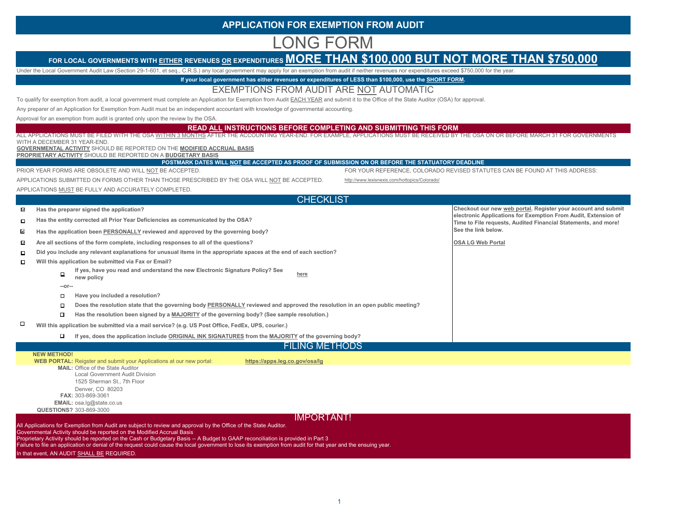#### **APPLICATION FOR EXEMPTION FROM AUDIT**

# LONG FORM

## FOR LOCAL GOVERNMENTS WITH EITHER REVENUES OR EXPENDITURES MORE THAN \$100,000 BUT NOT MORE THAN \$750,000

Under the Local Government Audit Law (Section 29-1-601, et seq., C.R.S.) any local government may apply for an exemption from audit if neither revenues nor expenditures exceed \$750,000 for the year.

**If your local government has either revenues or expenditures of LESS than \$100,000, use the SHORT FORM.**

#### EXEMPTIONS FROM AUDIT ARE NOT AUTOMATIC

To qualify for exemption from audit, a local government must complete an Application for Exemption from Audit EACH YEAR and submit it to the Office of the State Auditor (OSA) for approval.

Any preparer of an Application for Exemption from Audit must be an independent accountant with knowledge of governmental accounting.

Approval for an exemption from audit is granted only upon the review by the OSA.

#### **READ ALL INSTRUCTIONS BEFORE COMPLETING AND SUBMITTING THIS FORM**

 ALL APPLICATIONS MUST BE FILED WITH THE OSA WITHIN 3 MONTHS AFTER THE ACCOUNTING YEAR-END. FOR EXAMPLE, APPLICATIONS MUST BE RECEIVED BY THE OSA ON OR BEFORE MARCH 31 FOR GOVERNMENTS WITH A DECEMBER 31 YEAR-END. **GOVERNMENTAL ACTIVITY** SHOULD BE REPORTED ON THE **MODIFIED ACCRUAL BASIS PROPRIETARY ACTIVITY** SHOULD BE REPORTED ON A **BUDGETARY BASIS**

**POSTMARK DATES WILL NOT BE ACCEPTED AS PROOF OF SUBMISSION ON OR BEFORE THE STATUATORY DEADLINE** FOR YOUR REFERENCE, COLORADO REVISED STATUTES CAN BE FOUND AT THIS ADDRESS:

|  |  |  |  | PRIOR YEAR FORMS ARE OBSOLETE AND WILL NOT BE ACCEPTED. |  |
|--|--|--|--|---------------------------------------------------------|--|
|  |  |  |  |                                                         |  |

APPLICATIONS SUBMITTED ON FORMS OTHER THAN THOSE PRESCRIBED BY THE OSA WILL <u>NOT</u> BE ACCEPTED.

http://www.lexisnexis.com/hottopics/Colorado/

APPLICATIONS <u>MUST</u> BE FULLY AND ACCURATELY COMPLETED.

|                          | <b>CHECKLIST</b>                                                                                                                                                                                                                                                                                                               |                                                                                                                                  |  |  |  |  |  |  |  |  |
|--------------------------|--------------------------------------------------------------------------------------------------------------------------------------------------------------------------------------------------------------------------------------------------------------------------------------------------------------------------------|----------------------------------------------------------------------------------------------------------------------------------|--|--|--|--|--|--|--|--|
| $\overline{\mathcal{L}}$ | Has the preparer signed the application?                                                                                                                                                                                                                                                                                       | Checkout our new web portal. Register your account and submit                                                                    |  |  |  |  |  |  |  |  |
| □                        | Has the entity corrected all Prior Year Deficiencies as communicated by the OSA?                                                                                                                                                                                                                                               | electronic Applications for Exemption From Audit, Extension of<br>Time to File requests, Audited Financial Statements, and more! |  |  |  |  |  |  |  |  |
| $\mathbf{v}$             | Has the application been PERSONALLY reviewed and approved by the governing body?                                                                                                                                                                                                                                               | See the link below.                                                                                                              |  |  |  |  |  |  |  |  |
| $\sim$                   | Are all sections of the form complete, including responses to all of the questions?                                                                                                                                                                                                                                            | <b>OSA LG Web Portal</b>                                                                                                         |  |  |  |  |  |  |  |  |
| □                        | Did you include any relevant explanations for unusual items in the appropriate spaces at the end of each section?                                                                                                                                                                                                              |                                                                                                                                  |  |  |  |  |  |  |  |  |
| $\Box$                   | Will this application be submitted via Fax or Email?                                                                                                                                                                                                                                                                           |                                                                                                                                  |  |  |  |  |  |  |  |  |
|                          | If yes, have you read and understand the new Electronic Signature Policy? See<br>$\Box$<br>here<br>new policy                                                                                                                                                                                                                  |                                                                                                                                  |  |  |  |  |  |  |  |  |
|                          | $-0r-$                                                                                                                                                                                                                                                                                                                         |                                                                                                                                  |  |  |  |  |  |  |  |  |
|                          | Have you included a resolution?<br>□                                                                                                                                                                                                                                                                                           |                                                                                                                                  |  |  |  |  |  |  |  |  |
|                          | Does the resolution state that the governing body PERSONALLY reviewed and approved the resolution in an open public meeting?<br>$\Box$                                                                                                                                                                                         |                                                                                                                                  |  |  |  |  |  |  |  |  |
|                          | Has the resolution been signed by a MAJORITY of the governing body? (See sample resolution.)<br>$\Box$                                                                                                                                                                                                                         |                                                                                                                                  |  |  |  |  |  |  |  |  |
| П                        | Will this application be submitted via a mail service? (e.g. US Post Office, FedEx, UPS, courier.)                                                                                                                                                                                                                             |                                                                                                                                  |  |  |  |  |  |  |  |  |
|                          | If yes, does the application include ORIGINAL INK SIGNATURES from the MAJORITY of the governing body?<br>□                                                                                                                                                                                                                     |                                                                                                                                  |  |  |  |  |  |  |  |  |
|                          | <b>FILING METHODS</b>                                                                                                                                                                                                                                                                                                          |                                                                                                                                  |  |  |  |  |  |  |  |  |
|                          | <b>NEW METHOD!</b><br><b>WEB PORTAL:</b> Reigster and submit your Applications at our new portal:<br>https://apps.leg.co.gov/osa/lg<br><b>MAIL:</b> Office of the State Auditor<br><b>Local Government Audit Division</b><br>1525 Sherman St., 7th Floor<br>Denver, CO 80203<br>FAX: 303-869-3061<br>EMAIL: osa.lg@state.co.us |                                                                                                                                  |  |  |  |  |  |  |  |  |
|                          | QUESTIONS? 303-869-3000<br><b>IMPORTANT!</b>                                                                                                                                                                                                                                                                                   |                                                                                                                                  |  |  |  |  |  |  |  |  |
|                          |                                                                                                                                                                                                                                                                                                                                |                                                                                                                                  |  |  |  |  |  |  |  |  |

All Applications for Exemption from Audit are subject to review and approval by the Office of the State Auditor.

Governmental Activity should be reported on the Modified Accrual Basis

Proprietary Activity should be reported on the Cash or Budgetary Basis -- A Budget to GAAP reconciliation is provided in Part 3

Failure to file an application or denial of the request could cause the local government to lose its exemption from audit for that year and the ensuing year.

In that event, AN AUDIT SHALL BE REQUIRED.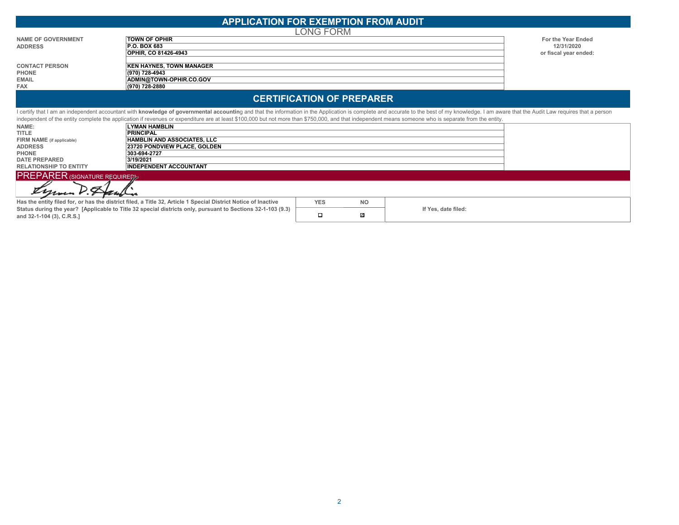| <b>APPLICATION FOR EXEMPTION FROM AUDIT.</b>            |  |
|---------------------------------------------------------|--|
| $\sim$ $\sim$ $\sim$ $\sim$ $\sim$ $\sim$ $\sim$ $\sim$ |  |

|                           | LONG FORM                       |                       |
|---------------------------|---------------------------------|-----------------------|
| <b>NAME OF GOVERNMENT</b> | <b>TOWN OF OPHIR</b>            | For the Year Ended    |
| <b>ADDRESS</b>            | <b>P.O. BOX 683</b>             | 12/31/2020            |
|                           | <b>OPHIR. CO 81426-4943</b>     | or fiscal year ended: |
|                           |                                 |                       |
| <b>CONTACT PERSON</b>     | <b>KEN HAYNES, TOWN MANAGER</b> |                       |
| <b>PHONE</b>              | (970) 728-4943                  |                       |
| <b>EMAIL</b>              | ADMIN@TOWN-OPHIR.CO.GOV         |                       |
| <b>FAX</b>                | (970) 728-2880                  |                       |

#### **CERTIFICATION OF PREPARER**

I certify that I am an independent accountant with knowledge of governmental accounting and that the information in the Application is complete and accurate to the best of my knowledge. I am aware that the Audit Law requir independent of the entity complete the application if revenues or expenditure are at least \$100,000 but not more than \$750,000, and that independent means someone who is separate from the entity. **NAME:LYMAN HAMBLIN TITLE PRINCIPAL FIRM NAME (if applicable) HAMBLIN AND ASSOCIATES, LLC ADDRESS23720 PONDVIEW PLACE, GOLDEN PHONE303-694-2727 DATE PREPARED 3/19/2021 RELATIONSHIP TO ENTITY INDEPENDENT ACCOUNTANT PREPARER (SIGNATURE REQUIRED)** Ñ ' Z ℤ **Has the entity filed for, or has the district filed, a Title 32, Article 1 Special District Notice of Inactive YES NO Status during the year? [Applicable to Title 32 special districts only, pursuant to Sections 32-1-103 (9.3) If Yes, date filed:**  $\Box$  $\checkmark$ **and 32-1-104 (3), C.R.S.]**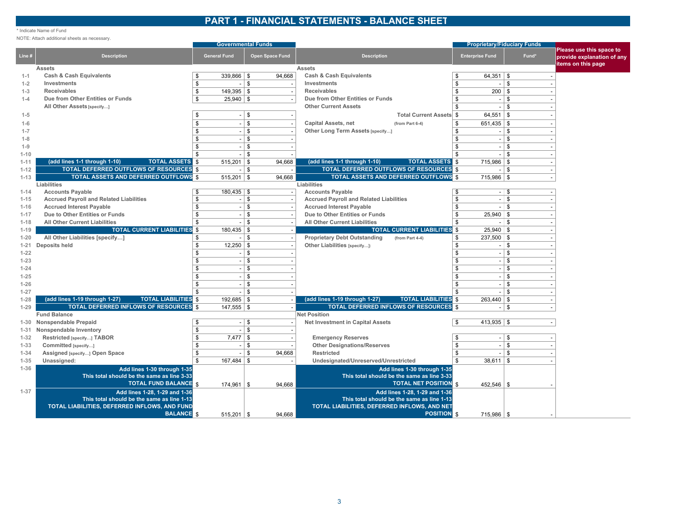#### **PART 1 - FINANCIAL STATEMENTS - BALANCE SHEET**

#### \* Indicate Name of Fund

NOTE: Attach additional sheets as necessary.

|          |                                                                    | <b>Governmental Funds</b> |                          |          |                          |                                                                    | <b>Proprietary/Fiduciary Funds</b> |                |              |                                                        |
|----------|--------------------------------------------------------------------|---------------------------|--------------------------|----------|--------------------------|--------------------------------------------------------------------|------------------------------------|----------------|--------------|--------------------------------------------------------|
| Line #   | <b>Description</b>                                                 |                           | <b>General Fund</b>      |          | Open Space Fund          | <b>Description</b>                                                 | <b>Enterprise Fund</b>             |                | Fund*        | Please use this space to<br>provide explanation of any |
|          | <b>Assets</b>                                                      |                           |                          |          |                          | <b>Assets</b>                                                      |                                    |                |              | items on this page                                     |
| $1 - 1$  | <b>Cash &amp; Cash Equivalents</b>                                 | \$                        | $339.866$   \$           |          | 94,668                   | <b>Cash &amp; Cash Equivalents</b>                                 | \$                                 | $64.351$ \ \$  |              |                                                        |
| $1 - 2$  | Investments                                                        | \$                        | $\sim$                   | \$       | $\overline{\phantom{a}}$ | Investments                                                        | \$                                 | $\sim$         | \$           |                                                        |
| $1 - 3$  | <b>Receivables</b>                                                 | \$                        | $149,395$ \\$            |          |                          | <b>Receivables</b>                                                 | <b>S</b>                           | $200  $ \$     |              |                                                        |
| $1 - 4$  | Due from Other Entities or Funds                                   | $\$$                      | $25,940$ \\$             |          |                          | Due from Other Entities or Funds                                   | \$                                 | $\sim$         | \$           |                                                        |
|          | All Other Assets [specify]                                         |                           |                          |          |                          | <b>Other Current Assets</b>                                        | \$                                 | $\sim$         | \$           |                                                        |
| $1 - 5$  |                                                                    | \$                        |                          | \$       |                          | <b>Total Current Assets \$</b>                                     |                                    | 64,551         | \$           |                                                        |
| $1 - 6$  |                                                                    | \$                        | $\overline{\phantom{a}}$ | \$       |                          | <b>Capital Assets, net</b><br>(from Part 6-4)                      | \$                                 | $651,435$ \\$  |              |                                                        |
| $1 - 7$  |                                                                    | \$                        |                          | \$       |                          | Other Long Term Assets [specify]                                   | \$                                 |                | \$           |                                                        |
| $1 - 8$  |                                                                    | \$                        | $\overline{\phantom{a}}$ | \$       |                          |                                                                    | \$                                 |                | \$           |                                                        |
| $1 - 9$  |                                                                    | \$                        |                          | \$       |                          |                                                                    |                                    |                | \$           |                                                        |
| $1 - 10$ |                                                                    | \$                        |                          | \$       |                          |                                                                    | \$                                 |                | $\$$         |                                                        |
| $1 - 11$ | (add lines 1-1 through 1-10)<br><b>TOTAL ASSETS S</b>              |                           | 515,201                  | \$       | 94,668                   | <b>TOTAL ASSETS S</b><br>(add lines 1-1 through 1-10)              |                                    | $715,986$   \$ |              |                                                        |
| $1 - 12$ | <b>TOTAL DEFERRED OUTFLOWS OF RESOURCES \$</b>                     |                           |                          | \$       |                          | <b>TOTAL DEFERRED OUTFLOWS OF RESOURCES</b>                        |                                    |                | \$           |                                                        |
| $1 - 13$ | <b>TOTAL ASSETS AND DEFERRED OUTFLOWS S</b>                        |                           | $515,201$ \\$            |          | 94,668                   | <b>TOTAL ASSETS AND DEFERRED OUTFLOWS S</b>                        |                                    | $715,986$ \ \$ |              |                                                        |
|          | Liabilities                                                        |                           |                          |          |                          | Liabilities                                                        |                                    |                |              |                                                        |
| $1 - 14$ | <b>Accounts Payable</b>                                            | <b>S</b>                  | $180,435$ \$             |          |                          | <b>Accounts Payable</b>                                            |                                    | $-$ \$         |              |                                                        |
| $1 - 15$ | <b>Accrued Payroll and Related Liabilities</b>                     | \$                        | $\overline{\phantom{a}}$ | \$       |                          | <b>Accrued Payroll and Related Liabilities</b>                     | <b>S</b>                           | $-$ \$         |              |                                                        |
| $1 - 16$ | <b>Accrued Interest Payable</b>                                    | \$                        |                          | \$       |                          | <b>Accrued Interest Payable</b>                                    | \$                                 | $-$ \$         |              |                                                        |
| $1 - 17$ | Due to Other Entities or Funds                                     | \$                        | $\sim$                   | \$       |                          | Due to Other Entities or Funds                                     | \$                                 | $25,940$ \$    |              |                                                        |
| $1 - 18$ | <b>All Other Current Liabilities</b>                               | \$                        |                          | \$       |                          | <b>All Other Current Liabilities</b>                               | \$                                 | $-$ \$         |              |                                                        |
| $1 - 19$ | <b>TOTAL CURRENT LIABILITIES \$</b>                                |                           | 180,435                  | \$       |                          | <b>TOTAL CURRENT LIABILITIES</b> \$                                |                                    | $25,940$ \$    |              |                                                        |
| $1 - 20$ | All Other Liabilities [specify]                                    | \$                        |                          | \$       |                          | <b>Proprietary Debt Outstanding</b><br>(from Part 4-4)             | \$                                 | $237,500$ \$   |              |                                                        |
| $1 - 21$ | Deposits held                                                      | $\$$                      | $12,250$ \ \$            |          |                          | Other Liabilities [specify]:                                       | \$                                 | $-$ \$         |              |                                                        |
| $1 - 22$ |                                                                    | \$                        | $\overline{\phantom{a}}$ | \$       |                          |                                                                    | \$                                 | $-1$ \$        |              |                                                        |
| $1 - 23$ |                                                                    | \$                        | $\sim$                   | \$       |                          |                                                                    | \$                                 | $\sim$         | l \$         |                                                        |
| $1 - 24$ |                                                                    | \$                        | $\sim$                   | \$       |                          |                                                                    | <b>S</b>                           | $\sim$         | \$           |                                                        |
| $1 - 25$ |                                                                    | \$                        | $\overline{a}$           | \$       |                          |                                                                    | \$                                 | $\sim$         | \$           |                                                        |
| $1 - 26$ |                                                                    | \$                        | $\sim$                   | \$       |                          |                                                                    | \$                                 | $\sim$         | \$           |                                                        |
| $1 - 27$ |                                                                    | \$                        |                          | <b>S</b> |                          |                                                                    | \$                                 |                | \$           |                                                        |
| $1 - 28$ | (add lines 1-19 through 1-27)<br><b>TOTAL LIABILITIES \$</b>       |                           | $192,685$ \ \$           |          |                          | (add lines 1-19 through 1-27)<br><b>TOTAL LIABILITIES</b> \$       |                                    | $263,440$ \ \$ |              |                                                        |
| $1 - 29$ | <b>TOTAL DEFERRED INFLOWS OF RESOURCES \$</b>                      |                           | $147,555$ \ \$           |          |                          | <b>TOTAL DEFERRED INFLOWS OF RESOURCES</b>                         |                                    |                | l \$         |                                                        |
|          | <b>Fund Balance</b>                                                |                           |                          |          |                          | <b>Net Position</b>                                                |                                    |                |              |                                                        |
|          | 1-30 Nonspendable Prepaid                                          | \$                        | $\sim$                   | \$       |                          | <b>Net Investment in Capital Assets</b>                            | \$                                 | $413,935$ \$   |              |                                                        |
| 1-31     | Nonspendable Inventory                                             | \$                        |                          | \$       |                          |                                                                    |                                    |                |              |                                                        |
| $1 - 32$ | Restricted [specify] TABOR                                         | $\$$                      | 7,477                    | l \$     |                          | <b>Emergency Reserves</b>                                          | \$                                 | $-1$ \$        |              |                                                        |
| $1 - 33$ | Committed [specify]                                                | \$                        | $\overline{a}$           | \$       |                          | <b>Other Designations/Reserves</b>                                 | <sup>\$</sup>                      | $\sim$         | l \$         |                                                        |
| $1 - 34$ | Assigned [specify] Open Space                                      | $\$$                      |                          | \$       | 94,668                   | <b>Restricted</b>                                                  | \$                                 |                | $\mathbb{S}$ |                                                        |
| $1 - 35$ | Unassigned:                                                        | \$                        | 167,484                  | l \$     |                          | Undesignated/Unreserved/Unrestricted                               | \$                                 | $38,611$ \$    |              |                                                        |
| $1 - 36$ | Add lines 1-30 through 1-35                                        |                           |                          |          |                          | Add lines 1-30 through 1-35                                        |                                    |                |              |                                                        |
|          | This total should be the same as line 3-33                         |                           |                          |          |                          | This total should be the same as line 3-33                         |                                    |                |              |                                                        |
|          | <b>TOTAL FUND BALANCE \$</b>                                       |                           | $174,961$   \$           |          | 94,668                   | <b>TOTAL NET POSITION \$</b>                                       |                                    | $452.546$ \ \$ |              |                                                        |
| $1 - 37$ | Add lines 1-28, 1-29 and 1-36                                      |                           |                          |          |                          | Add lines 1-28, 1-29 and 1-36                                      |                                    |                |              |                                                        |
|          | This total should be the same as line 1-13                         |                           |                          |          |                          | This total should be the same as line 1-13                         |                                    |                |              |                                                        |
|          | TOTAL LIABILITIES, DEFERRED INFLOWS, AND FUND<br><b>BALANCE</b> \$ |                           |                          |          |                          | TOTAL LIABILITIES, DEFERRED INFLOWS, AND NET<br><b>POSITION</b> \$ |                                    |                |              |                                                        |
|          |                                                                    |                           | $515,201$   \$           |          | 94,668                   |                                                                    |                                    | $715,986$ \ \$ |              |                                                        |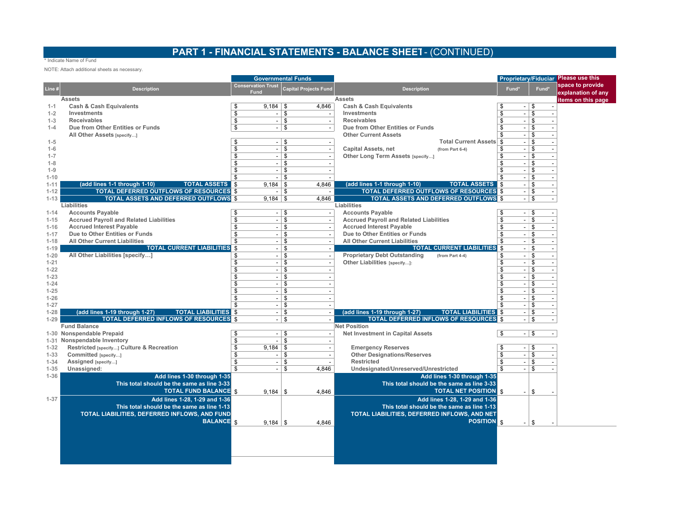## **PART 1 - FINANCIAL STATEMENTS - BALANCE SHEET** - (CONTINUED)

#### \* Indicate Name of Fund

NOTE: Attach additional sheets as necessary.

|                      |                                                                        | <b>Governmental Funds</b> |                           |               |                              |                                                                             |                                |                         | Proprietary/Fiduciar Please use this |
|----------------------|------------------------------------------------------------------------|---------------------------|---------------------------|---------------|------------------------------|-----------------------------------------------------------------------------|--------------------------------|-------------------------|--------------------------------------|
| Line #               | <b>Description</b>                                                     |                           | <b>Conservation Trust</b> |               | <b>Capital Projects Fund</b> | <b>Description</b>                                                          | Fund*                          | Fund*                   | space to provide                     |
|                      | <b>Assets</b>                                                          |                           | Fund                      |               |                              | <b>Assets</b>                                                               |                                |                         | explanation of any                   |
| $1 - 1$              | <b>Cash &amp; Cash Equivalents</b>                                     | \$                        | $9,184$ \ \$              |               | 4,846                        | <b>Cash &amp; Cash Equivalents</b>                                          | $\overline{\phantom{a}}$       | \$                      | litems on this page                  |
| $1 - 2$              | Investments                                                            | \$                        |                           | $-1$ \$       |                              | Investments                                                                 | \$<br>÷.                       | \$                      |                                      |
| $1 - 3$              | <b>Receivables</b>                                                     | \$                        |                           | $-1$ \$       | $\blacksquare$               | <b>Receivables</b>                                                          | \$<br>$\overline{\phantom{a}}$ | \$                      |                                      |
| $1 - 4$              | Due from Other Entities or Funds                                       | \$                        |                           | $-1$ \$       | $\blacksquare$               | Due from Other Entities or Funds                                            | $\overline{\phantom{a}}$       | \$                      |                                      |
|                      | All Other Assets [specify]                                             |                           |                           |               |                              | <b>Other Current Assets</b>                                                 | $\overline{\phantom{a}}$       | \$                      |                                      |
| $1 - 5$              |                                                                        | \$                        |                           | $-1$ \$       |                              | <b>Total Current Assets</b>                                                 | \$<br>$\overline{\phantom{a}}$ | \$                      |                                      |
| $1 - 6$              |                                                                        | \$                        |                           | $-1$ \$       |                              | <b>Capital Assets, net</b><br>(from Part 6-4)                               | \$<br>$\overline{\phantom{a}}$ | \$                      |                                      |
| $1 - 7$              |                                                                        | \$                        |                           | $-1$ \$       |                              | Other Long Term Assets [specify]                                            | \$<br>$\overline{\phantom{a}}$ | \$                      |                                      |
| $1 - 8$              |                                                                        | $\overline{\mathbf{s}}$   |                           | $-1$ s        |                              |                                                                             | \$<br>$\overline{\phantom{a}}$ | l \$                    |                                      |
| $1 - 9$              |                                                                        | \$                        | $\sim$ 1                  | \$            |                              |                                                                             | \$<br>$\overline{\phantom{a}}$ | \$                      |                                      |
| $1 - 10$             |                                                                        | \$                        |                           | $-1$ \$       |                              |                                                                             | \$<br>$\overline{\phantom{a}}$ | \$                      |                                      |
| $1 - 11$             | (add lines 1-1 through 1-10)<br><b>TOTAL ASSETS   \$</b>               |                           | $9,184$ \ \$              |               | 4,846                        | (add lines 1-1 through 1-10)<br><b>TOTAL ASSETS S</b>                       | $\overline{\phantom{a}}$       | \$                      |                                      |
| $1 - 12$             | TOTAL DEFERRED OUTFLOWS OF RESOURCES \$                                |                           |                           | $-1$ \$       |                              | <b>TOTAL DEFERRED OUTFLOWS OF RESOURCES \$</b>                              | $\overline{\phantom{a}}$       | \$                      |                                      |
| $1 - 13$             | <b>TOTAL ASSETS AND DEFERRED OUTFLOWS \$</b>                           |                           | $9,184$ \ \$              |               | 4,846                        | <b>TOTAL ASSETS AND DEFERRED OUTFLOWS \$</b>                                | $\overline{\phantom{a}}$       | \$                      |                                      |
|                      | Liabilities                                                            |                           |                           |               |                              | Liabilities                                                                 |                                |                         |                                      |
| $1 - 14$             | <b>Accounts Payable</b>                                                | \$                        |                           | $-1$ \$       |                              | <b>Accounts Payable</b>                                                     | $-1$ \$<br>\$                  |                         |                                      |
| $1 - 15$             | <b>Accrued Payroll and Related Liabilities</b>                         | \$                        | $\overline{\phantom{a}}$  | \$            | $\overline{\phantom{a}}$     | <b>Accrued Payroll and Related Liabilities</b>                              | $-1$ \$<br>\$                  |                         |                                      |
| $1 - 16$             | <b>Accrued Interest Payable</b>                                        | \$                        |                           | $-1$ \$       |                              | <b>Accrued Interest Payable</b>                                             | $-1$ \$<br>\$                  |                         |                                      |
| $1 - 17$             | Due to Other Entities or Funds<br><b>All Other Current Liabilities</b> | \$                        |                           | $-1$ \$       |                              | Due to Other Entities or Funds                                              | \$<br>$-$ \$                   |                         |                                      |
| $1 - 18$<br>$1 - 19$ | <b>TOTAL CURRENT LIABILITIES</b>                                       | \$                        | $\overline{a}$            | \$<br>$-1$ \$ |                              | <b>All Other Current Liabilities</b><br><b>TOTAL CURRENT LIABILITIES</b> \$ | \$<br>$-1$ \$<br>$-1$ \$       |                         |                                      |
| $1 - 20$             | All Other Liabilities [specify]                                        | \$                        |                           | $-1$ \$       | $\overline{\phantom{a}}$     | <b>Proprietary Debt Outstanding</b><br>(from Part 4-4)                      | \$<br>$-1$ \$                  |                         |                                      |
| $1 - 21$             |                                                                        | $\overline{\mathbb{S}}$   |                           | $-1$ \$       |                              | Other Liabilities [specify]:                                                | \$<br>$-1$ \$                  |                         |                                      |
| $1 - 22$             |                                                                        | \$                        |                           | $-1$ \$       |                              |                                                                             | \$<br>$-1$ \$                  |                         |                                      |
| $1 - 23$             |                                                                        | \$                        | $\sim$                    | \$            |                              |                                                                             | \$<br>$\overline{\phantom{a}}$ | l \$                    |                                      |
| $1 - 24$             |                                                                        | \$                        | $-1$                      | \$            |                              |                                                                             | \$<br>$\overline{\phantom{a}}$ | \$                      |                                      |
| $1 - 25$             |                                                                        | \$                        |                           | $-1$ \$       |                              |                                                                             | \$<br>$\overline{\phantom{a}}$ | \$                      |                                      |
| $1 - 26$             |                                                                        | \$                        |                           | $-1$ \$       |                              |                                                                             | \$<br>$\overline{\phantom{a}}$ | \$                      |                                      |
| $1 - 27$             |                                                                        | \$                        |                           | $-1$ \$       | $\overline{a}$               |                                                                             | \$<br>$\blacksquare$           | \$                      |                                      |
| $1 - 28$             | (add lines 1-19 through 1-27)<br><b>TOTAL LIABILITIES</b> \$           |                           |                           | $-1$ \$       |                              | (add lines 1-19 through 1-27)<br><b>TOTAL LIABILITIES</b>                   | $\overline{\phantom{a}}$       | \$                      |                                      |
| $1 - 29$             | <b>TOTAL DEFERRED INFLOWS OF RESOURCES</b> \$                          |                           |                           | $-1$ \$       |                              | <b>TOTAL DEFERRED INFLOWS OF RESOURCES</b>                                  |                                | \$                      |                                      |
|                      | <b>Fund Balance</b>                                                    |                           |                           |               |                              | <b>Net Position</b>                                                         |                                |                         |                                      |
|                      | 1-30 Nonspendable Prepaid                                              | \$                        |                           | $-1$ \$       |                              | <b>Net Investment in Capital Assets</b>                                     | \$<br>$-1$ \$                  |                         |                                      |
|                      | 1-31 Nonspendable Inventory                                            | \$                        |                           | \$            |                              |                                                                             |                                |                         |                                      |
| $1 - 32$             | Restricted [specify] Culture & Recreation                              | \$                        | $9.184$ \ \$              |               |                              | <b>Emergency Reserves</b>                                                   | \$.<br>$\blacksquare$          | l \$                    |                                      |
| $1 - 33$             | Committed [specify]                                                    | \$                        | $-1$                      | \$            |                              | <b>Other Designations/Reserves</b>                                          | \$<br>$\overline{\phantom{a}}$ | $\overline{\mathsf{s}}$ |                                      |
| $1 - 34$             | Assigned [specify]                                                     | $\overline{\$}$           |                           | $-1$ \$       |                              | Restricted                                                                  | \$<br>$\overline{\phantom{a}}$ | \$                      |                                      |
| $1 - 35$             | Unassigned:                                                            | \$                        | $\overline{\phantom{a}}$  | \$            | 4,846                        | Undesignated/Unreserved/Unrestricted                                        | \$                             | \$                      |                                      |
| $1 - 36$             | Add lines 1-30 through 1-35                                            |                           |                           |               |                              | Add lines 1-30 through 1-35                                                 |                                |                         |                                      |
|                      | This total should be the same as line 3-33                             |                           |                           |               |                              | This total should be the same as line 3-33                                  |                                |                         |                                      |
|                      | <b>TOTAL FUND BALANCE \$</b>                                           |                           | $9,184$ \ \$              |               | 4,846                        | <b>TOTAL NET POSITION S</b>                                                 | $\overline{\phantom{a}}$       | \$                      |                                      |
| $1 - 37$             | Add lines 1-28, 1-29 and 1-36                                          |                           |                           |               |                              | Add lines 1-28, 1-29 and 1-36                                               |                                |                         |                                      |
|                      | This total should be the same as line 1-13                             |                           |                           |               |                              | This total should be the same as line 1-13                                  |                                |                         |                                      |
|                      | TOTAL LIABILITIES, DEFERRED INFLOWS, AND FUND                          |                           |                           |               |                              | TOTAL LIABILITIES, DEFERRED INFLOWS, AND NET                                |                                |                         |                                      |
|                      | <b>BALANCE</b> <sub>S</sub>                                            |                           | $9,184$ \ \$              |               | 4,846                        | <b>POSITION</b> \$                                                          |                                | l \$                    |                                      |
|                      |                                                                        |                           |                           |               |                              |                                                                             |                                |                         |                                      |
|                      |                                                                        |                           |                           |               |                              |                                                                             |                                |                         |                                      |
|                      |                                                                        |                           |                           |               |                              |                                                                             |                                |                         |                                      |
|                      |                                                                        |                           |                           |               |                              |                                                                             |                                |                         |                                      |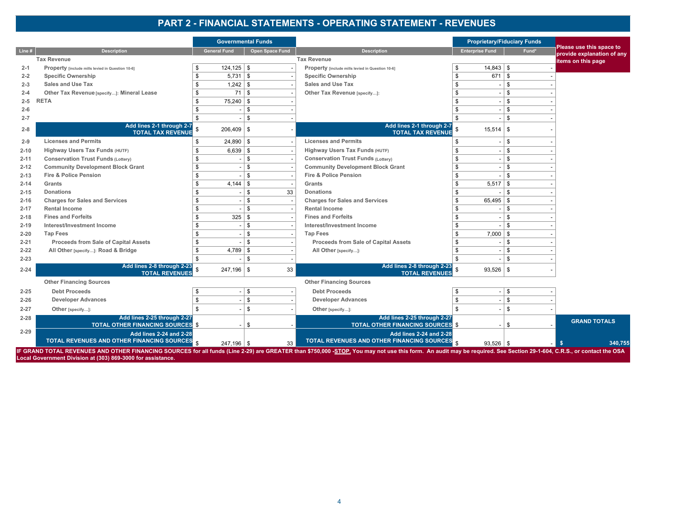#### **PART 2 - FINANCIAL STATEMENTS - OPERATING STATEMENT - REVENUES**

|          |                                                                         | <b>Governmental Funds</b> |                 |                                                                         |                                | <b>Proprietary/Fiduciary Funds</b> |                                                        |
|----------|-------------------------------------------------------------------------|---------------------------|-----------------|-------------------------------------------------------------------------|--------------------------------|------------------------------------|--------------------------------------------------------|
| Line#    | <b>Description</b>                                                      | <b>General Fund</b>       | Open Space Fund | <b>Description</b>                                                      | <b>Enterprise Fund</b>         | Fund*                              | Please use this space to<br>provide explanation of any |
|          | <b>Tax Revenue</b>                                                      |                           |                 | <b>Tax Revenue</b>                                                      |                                |                                    | items on this page                                     |
| $2 - 1$  | Property [include mills levied in Question 10-6]                        | $124, 125$ \$             |                 | Property [include mills levied in Question 10-6]                        | $14,843$ \ \$<br>\$            |                                    |                                                        |
| $2 - 2$  | <b>Specific Ownership</b>                                               | $5,731$ \$                |                 | <b>Specific Ownership</b>                                               | $671$ \$<br>\$                 |                                    |                                                        |
| $2 - 3$  | <b>Sales and Use Tax</b>                                                |                           |                 | <b>Sales and Use Tax</b>                                                | \$                             | $\mathbb{S}$                       |                                                        |
| $2 - 4$  | Other Tax Revenue [specify]: Mineral Lease                              |                           | $71$ \ \$       | Other Tax Revenue [specify]:                                            |                                | \$                                 |                                                        |
| $2 - 5$  | <b>RETA</b>                                                             | $75,240$ \ \$             |                 |                                                                         |                                | \$                                 |                                                        |
| $2 - 6$  |                                                                         |                           | \$              |                                                                         | \$                             | \$                                 |                                                        |
| $2 - 7$  |                                                                         |                           | $\mathbb{S}$    |                                                                         | \$                             | $\mathfrak{L}$                     |                                                        |
| $2 - 8$  | Add lines 2-1 through 2-7<br><b>TOTAL TAX REVENUE</b>                   | $206,409$ \ \$            |                 | Add lines 2-1 through 2-7<br><b>TOTAL TAX REVENUE</b>                   | $15,514$ \\$                   |                                    |                                                        |
| $2 - 9$  | <b>Licenses and Permits</b>                                             | $24,890$ \ \$             |                 | <b>Licenses and Permits</b>                                             | \$                             | <b>S</b>                           |                                                        |
| $2 - 10$ | Highway Users Tax Funds (HUTF)                                          | $6,639$ \$                |                 | Highway Users Tax Funds (HUTF)                                          | \$<br>$\overline{\phantom{a}}$ | \$                                 |                                                        |
| $2 - 11$ | <b>Conservation Trust Funds (Lottery)</b>                               |                           | $\mathbb{S}$    | <b>Conservation Trust Funds (Lottery)</b>                               | \$                             | \$                                 |                                                        |
| $2 - 12$ | <b>Community Development Block Grant</b>                                |                           | \$              | <b>Community Development Block Grant</b>                                | S.                             | \$                                 |                                                        |
| $2 - 13$ | <b>Fire &amp; Police Pension</b>                                        |                           | $\mathbb{S}$    | Fire & Police Pension                                                   |                                | \$                                 |                                                        |
| $2 - 14$ | Grants                                                                  |                           |                 | Grants                                                                  | $5,517$ \\$                    |                                    |                                                        |
| $2 - 15$ | <b>Donations</b>                                                        |                           | \$<br>33        | <b>Donations</b>                                                        |                                | \$                                 |                                                        |
| $2 - 16$ | <b>Charges for Sales and Services</b>                                   |                           | $\mathbb{S}$    | <b>Charges for Sales and Services</b>                                   | $65,495$ \ \$                  |                                    |                                                        |
| $2 - 17$ | <b>Rental Income</b>                                                    |                           | \$              | <b>Rental Income</b>                                                    |                                | \$                                 |                                                        |
| $2 - 18$ | <b>Fines and Forfeits</b>                                               |                           |                 | <b>Fines and Forfeits</b>                                               |                                | \$                                 |                                                        |
| $2 - 19$ | Interest/Investment Income                                              |                           | \$              | Interest/Investment Income                                              |                                | \$                                 |                                                        |
| $2 - 20$ | <b>Tap Fees</b>                                                         |                           | $\mathbb{S}$    | <b>Tap Fees</b>                                                         | $7,000$ \ \$                   |                                    |                                                        |
| $2 - 21$ | Proceeds from Sale of Capital Assets                                    |                           | \$              | Proceeds from Sale of Capital Assets                                    |                                | \$                                 |                                                        |
| $2 - 22$ | All Other [specify]: Road & Bridge                                      | $4,789$ \ \$              |                 | All Other [specify]:                                                    | \$.                            | \$                                 |                                                        |
| $2 - 23$ |                                                                         |                           | \$              |                                                                         |                                | \$                                 |                                                        |
| $2 - 24$ | Add lines 2-8 through 2-23<br><b>TOTAL REVENUES</b>                     | $247,196$ \ \$            | 33              | Add lines 2-8 through 2-23<br><b>TOTAL REVENUES</b>                     | $93,526$ \$                    |                                    |                                                        |
|          | <b>Other Financing Sources</b>                                          |                           |                 | <b>Other Financing Sources</b>                                          |                                |                                    |                                                        |
| $2 - 25$ | <b>Debt Proceeds</b>                                                    |                           | $\$$            | <b>Debt Proceeds</b>                                                    | S.                             | \$                                 |                                                        |
| $2 - 26$ | <b>Developer Advances</b>                                               |                           | $\mathbb{S}$    | <b>Developer Advances</b>                                               | \$                             | \$                                 |                                                        |
| $2 - 27$ | Other [specify]:                                                        |                           | \$              | Other [specify]:                                                        | \$                             | \$                                 |                                                        |
| $2 - 28$ | Add lines 2-25 through 2-27<br><b>TOTAL OTHER FINANCING SOURCES \$</b>  |                           | \$              | Add lines 2-25 through 2-27<br><b>TOTAL OTHER FINANCING SOURCES \$</b>  |                                | \$                                 | <b>GRAND TOTALS</b>                                    |
| $2 - 29$ | Add lines 2-24 and 2-28<br>TOTAL REVENUES AND OTHER FINANCING SOURCES S | $247,196$ \$              | 33              | Add lines 2-24 and 2-28<br>TOTAL REVENUES AND OTHER FINANCING SOURCES S | $93,526$ \ \$                  |                                    | 340,755<br><b>S</b>                                    |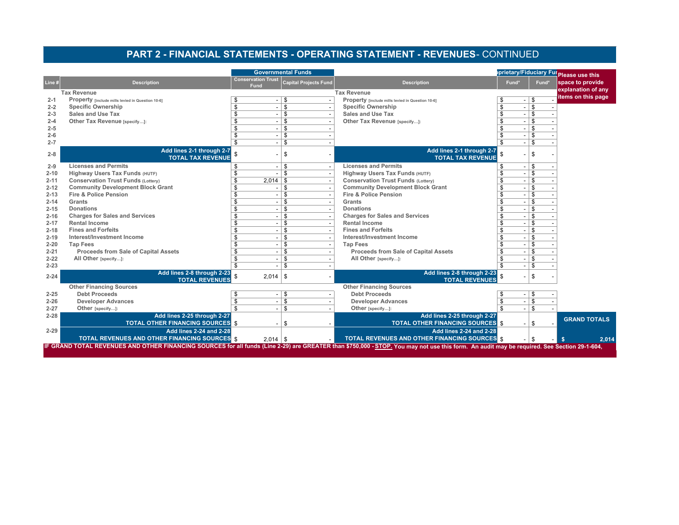## **PART 2 - FINANCIAL STATEMENTS - OPERATING STATEMENT - REVENUES** - CONTINUED

|          |                                                                                                                                                                                             |                                | <b>Governmental Funds</b> |                                                                               |       |          | prietary/Fiduciary Fur <sub>Please</sub> use this |
|----------|---------------------------------------------------------------------------------------------------------------------------------------------------------------------------------------------|--------------------------------|---------------------------|-------------------------------------------------------------------------------|-------|----------|---------------------------------------------------|
| Line #   | <b>Description</b>                                                                                                                                                                          | <b>Conservation Trust</b>      | Capital Projects Fund     | <b>Description</b>                                                            | Fund* | Fund*    | space to provide                                  |
|          |                                                                                                                                                                                             | Fund                           |                           |                                                                               |       |          | explanation of any                                |
|          | <b>Tax Revenue</b>                                                                                                                                                                          |                                |                           | <b>Tax Revenue</b>                                                            |       |          | items on this page                                |
| $2 - 1$  | Property [include mills levied in Question 10-6]<br><b>Specific Ownership</b>                                                                                                               |                                | \$<br>$\mathbf{s}$        | Property [include mills levied in Question 10-6]<br><b>Specific Ownership</b> |       | \$<br>\$ |                                                   |
| $2 - 2$  | <b>Sales and Use Tax</b>                                                                                                                                                                    |                                |                           | <b>Sales and Use Tax</b>                                                      | \$    | \$       |                                                   |
| $2 - 3$  |                                                                                                                                                                                             | \$                             | \$                        |                                                                               | \$    |          |                                                   |
| $2 - 4$  | Other Tax Revenue [specify]:                                                                                                                                                                | \$<br>$\overline{\phantom{a}}$ | \$                        | Other Tax Revenue [specify]:                                                  | \$    | \$       |                                                   |
| $2 - 5$  |                                                                                                                                                                                             | $\overline{\phantom{a}}$       | \$                        |                                                                               |       | \$       |                                                   |
| $2 - 6$  |                                                                                                                                                                                             | - 1                            | \$<br>$\mathbf{s}$        |                                                                               |       | \$       |                                                   |
| $2 - 7$  |                                                                                                                                                                                             | $-1$                           |                           |                                                                               |       | \$       |                                                   |
| $2 - 8$  | Add lines 2-1 through 2-7                                                                                                                                                                   |                                | \$                        | Add lines 2-1 through 2-7                                                     |       | \$       |                                                   |
|          | <b>TOTAL TAX REVENUE</b>                                                                                                                                                                    |                                |                           | <b>TOTAL TAX REVENUE</b>                                                      |       |          |                                                   |
| $2 - 9$  | <b>Licenses and Permits</b>                                                                                                                                                                 | \$<br>$\overline{\phantom{a}}$ | \$                        | <b>Licenses and Permits</b>                                                   | \$    | \$       |                                                   |
| $2 - 10$ | <b>Highway Users Tax Funds (HUTF)</b>                                                                                                                                                       |                                | \$                        | <b>Highway Users Tax Funds (HUTF)</b>                                         |       | \$       |                                                   |
| $2 - 11$ | <b>Conservation Trust Funds (Lottery)</b>                                                                                                                                                   | 2.014                          | -\$                       | <b>Conservation Trust Funds (Lottery)</b>                                     |       | \$       |                                                   |
| $2 - 12$ | <b>Community Development Block Grant</b>                                                                                                                                                    | - 1                            | \$                        | <b>Community Development Block Grant</b>                                      |       | \$       |                                                   |
| $2 - 13$ | <b>Fire &amp; Police Pension</b>                                                                                                                                                            | $\overline{\phantom{a}}$       | \$                        | <b>Fire &amp; Police Pension</b>                                              |       | \$       |                                                   |
| $2 - 14$ | Grants                                                                                                                                                                                      |                                | $\mathbf{s}$              | Grants                                                                        |       | \$       |                                                   |
| $2 - 15$ | <b>Donations</b>                                                                                                                                                                            | $\sim$ 1                       | \$                        | <b>Donations</b>                                                              | \$    | \$       |                                                   |
| $2 - 16$ | <b>Charges for Sales and Services</b>                                                                                                                                                       | \$                             | \$                        | <b>Charges for Sales and Services</b>                                         | \$    | \$       |                                                   |
| $2 - 17$ | <b>Rental Income</b>                                                                                                                                                                        |                                | $\mathbf{s}$              | <b>Rental Income</b>                                                          |       | \$       |                                                   |
| $2 - 18$ | <b>Fines and Forfeits</b>                                                                                                                                                                   |                                | $\mathbf{s}$              | <b>Fines and Forfeits</b>                                                     |       | \$       |                                                   |
| $2 - 19$ | Interest/Investment Income                                                                                                                                                                  | $-1$                           | $\mathbf{s}$              | Interest/Investment Income                                                    |       | \$       |                                                   |
| $2 - 20$ | <b>Tap Fees</b>                                                                                                                                                                             |                                | $\mathbf{s}$              | <b>Tap Fees</b>                                                               |       | \$       |                                                   |
| $2 - 21$ | Proceeds from Sale of Capital Assets                                                                                                                                                        | $\overline{\phantom{a}}$       | \$                        | <b>Proceeds from Sale of Capital Assets</b>                                   | \$    | \$       |                                                   |
| $2 - 22$ | All Other [specify]:                                                                                                                                                                        |                                | \$                        | All Other [specify]:                                                          | \$    | \$       |                                                   |
| $2 - 23$ |                                                                                                                                                                                             |                                | \$                        |                                                                               |       | \$       |                                                   |
| $2 - 24$ | Add lines 2-8 through 2-23<br><b>TOTAL REVENUES</b>                                                                                                                                         | $2,014$ \$                     |                           | Add lines 2-8 through 2-23<br><b>TOTAL REVENUES</b>                           |       | \$       |                                                   |
|          | <b>Other Financing Sources</b>                                                                                                                                                              |                                |                           | <b>Other Financing Sources</b>                                                |       |          |                                                   |
| $2 - 25$ | <b>Debt Proceeds</b>                                                                                                                                                                        | - 1                            | \$                        | <b>Debt Proceeds</b>                                                          |       | -\$      |                                                   |
| $2 - 26$ | <b>Developer Advances</b>                                                                                                                                                                   | \$<br>$-1$                     | \$                        | <b>Developer Advances</b>                                                     | \$    | \$       |                                                   |
| $2 - 27$ | Other [specify]:                                                                                                                                                                            |                                | $\mathbf{s}$              | Other [specify]:                                                              |       | \$       |                                                   |
| $2 - 28$ | Add lines 2-25 through 2-27                                                                                                                                                                 |                                |                           | Add lines 2-25 through 2-27                                                   |       |          |                                                   |
|          | <b>TOTAL OTHER FINANCING SOURCES \$</b>                                                                                                                                                     |                                | \$                        | <b>TOTAL OTHER FINANCING SOURCES</b> \$                                       |       | . ድ      | <b>GRAND TOTALS</b>                               |
| $2 - 29$ | <b>Add lines 2-24 and 2-28</b>                                                                                                                                                              |                                |                           | <b>Add lines 2-24 and 2-28</b>                                                |       |          |                                                   |
|          | <b>TOTAL REVENUES AND OTHER FINANCING SOURCES \$</b>                                                                                                                                        | $2,014$ \ \$                   |                           | <b>TOTAL REVENUES AND OTHER FINANCING SOURCES \$</b>                          |       | -S       | 2.014<br><b>S</b>                                 |
|          | IF GRAND TOTAL REVENUES AND OTHER FINANCING SOURCES for all funds (Line 2-29) are GREATER than \$750,000 - STOP. You may not use this form. An audit may be required. See Section 29-1-604, |                                |                           |                                                                               |       |          |                                                   |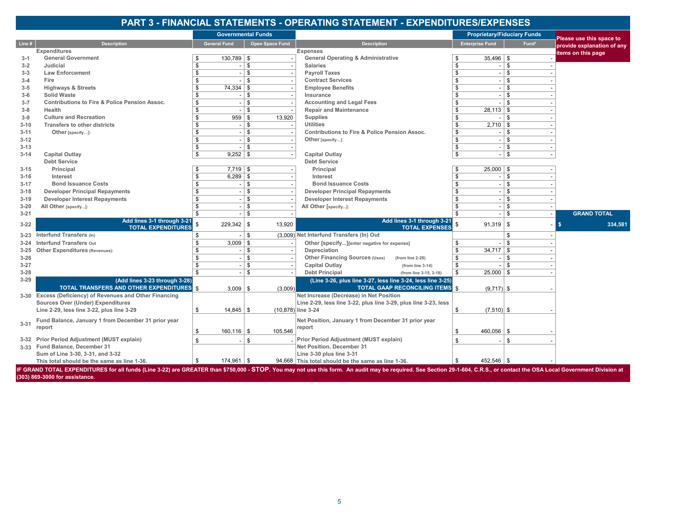#### **PART 3 - FINANCIAL STATEMENTS - OPERATING STATEMENT - EXPENDITURES/EXPENSES**

|          |                                                                                                                                                                                                                             | <b>Governmental Funds</b> |                         |                    |                                                                 |                        |                                          | <b>Proprietary/Fiduciary Funds</b> | Please use this space to   |
|----------|-----------------------------------------------------------------------------------------------------------------------------------------------------------------------------------------------------------------------------|---------------------------|-------------------------|--------------------|-----------------------------------------------------------------|------------------------|------------------------------------------|------------------------------------|----------------------------|
| Line #   | <b>Description</b>                                                                                                                                                                                                          | <b>General Fund</b>       |                         | Open Space Fund    | <b>Description</b>                                              | <b>Enterprise Fund</b> |                                          | Fund*                              | provide explanation of any |
|          | Expenditures                                                                                                                                                                                                                |                           |                         |                    | <b>Expenses</b>                                                 |                        |                                          |                                    | items on this page         |
| $3-1$    | <b>General Government</b>                                                                                                                                                                                                   | $130,789$ \\$             |                         |                    | <b>General Operating &amp; Administrative</b>                   | \$                     | $35,496$ \\$                             |                                    |                            |
| $3 - 2$  | Judicial                                                                                                                                                                                                                    | \$                        | $\mathfrak s$           |                    | <b>Salaries</b>                                                 | \$                     | \$                                       |                                    |                            |
| $3 - 3$  | <b>Law Enforcement</b>                                                                                                                                                                                                      |                           | ${\mathbb S}$           |                    | <b>Payroll Taxes</b>                                            | \$                     | \$                                       |                                    |                            |
| $3 - 4$  | Fire                                                                                                                                                                                                                        | \$                        | ${\mathbb S}$           |                    | <b>Contract Services</b>                                        | \$                     | \$<br>$\overline{\phantom{a}}$           |                                    |                            |
| $3 - 5$  | <b>Highways &amp; Streets</b>                                                                                                                                                                                               | 74,334                    | \$                      |                    | <b>Employee Benefits</b>                                        | \$                     | \$                                       |                                    |                            |
| $3 - 6$  | <b>Solid Waste</b>                                                                                                                                                                                                          | S                         | \$                      |                    | Insurance                                                       | \$                     | $\mathbf{s}$<br>$\overline{\phantom{a}}$ |                                    |                            |
| $3 - 7$  | <b>Contributions to Fire &amp; Police Pension Assoc.</b>                                                                                                                                                                    | \$                        | ${\mathbb S}$           |                    | <b>Accounting and Legal Fees</b>                                | \$                     | \$                                       |                                    |                            |
| $3 - 8$  | Health                                                                                                                                                                                                                      |                           | \$                      |                    | <b>Repair and Maintenance</b>                                   | 28,113                 | l \$                                     |                                    |                            |
| $3-9$    | <b>Culture and Recreation</b>                                                                                                                                                                                               | \$                        | 959<br>\$               | 13,920             | <b>Supplies</b>                                                 | \$                     | -9                                       |                                    |                            |
| $3 - 10$ | <b>Transfers to other districts</b>                                                                                                                                                                                         | S                         | \$                      |                    | <b>Utilities</b>                                                | \$                     | $2,710$ \$                               |                                    |                            |
| $3 - 11$ | Other [specify]:                                                                                                                                                                                                            | \$                        | \$<br>$\sim$            |                    | <b>Contributions to Fire &amp; Police Pension Assoc.</b>        | \$                     | Ŝ                                        |                                    |                            |
| $3 - 12$ |                                                                                                                                                                                                                             | \$                        | \$                      |                    | Other [specify]                                                 | \$                     | \$                                       |                                    |                            |
| $3 - 13$ |                                                                                                                                                                                                                             | \$                        | ${\mathbb S}$           |                    |                                                                 | \$                     | Ŝ                                        |                                    |                            |
| $3 - 14$ | <b>Capital Outlay</b>                                                                                                                                                                                                       | \$                        | $9,252$ \$              |                    | <b>Capital Outlay</b>                                           | ${\mathbb S}$          | \$                                       |                                    |                            |
|          | <b>Debt Service</b>                                                                                                                                                                                                         |                           |                         |                    | <b>Debt Service</b>                                             |                        |                                          |                                    |                            |
| $3 - 15$ | Principal                                                                                                                                                                                                                   |                           | $7,719$ \ \$            |                    | Principal                                                       | \$                     | $25,000$ \$                              |                                    |                            |
| $3 - 16$ | Interest                                                                                                                                                                                                                    | \$                        | $6,289$ \$              |                    | Interest                                                        | \$                     | \$                                       |                                    |                            |
| $3 - 17$ | <b>Bond Issuance Costs</b>                                                                                                                                                                                                  |                           | \$                      |                    | <b>Bond Issuance Costs</b>                                      | \$                     | -S                                       |                                    |                            |
| $3 - 18$ | <b>Developer Principal Repayments</b>                                                                                                                                                                                       | \$                        | \$                      |                    | <b>Developer Principal Repayments</b>                           | $\mathsf{s}$           | -S<br>$\overline{\phantom{a}}$           |                                    |                            |
| $3 - 19$ | <b>Developer Interest Repayments</b>                                                                                                                                                                                        | \$                        | \$                      |                    | <b>Developer Interest Repayments</b>                            | \$                     | Ŝ                                        |                                    |                            |
|          |                                                                                                                                                                                                                             |                           | \$                      |                    |                                                                 | \$                     | $\mathbf{s}$                             |                                    |                            |
| $3 - 20$ | All Other [specify]:                                                                                                                                                                                                        |                           | \$                      |                    | All Other [specify]:                                            | \$                     | \$                                       |                                    | <b>GRAND TOTAL</b>         |
| $3 - 21$ | Add lines 3-1 through 3-21                                                                                                                                                                                                  |                           |                         |                    | Add lines 3-1 through 3-21                                      |                        |                                          |                                    |                            |
| $3 - 22$ | <b>TOTAL EXPENDITURES</b>                                                                                                                                                                                                   | 229,342                   | l \$                    | 13,920             | <b>TOTAL EXPENSES</b>                                           |                        | $91,319$ \$                              |                                    | 334,581<br>S               |
| 3-23     | Interfund Transfers (In)                                                                                                                                                                                                    |                           | \$                      |                    | (3,009) Net Interfund Transfers (In) Out                        |                        | ٩.                                       |                                    |                            |
| $3 - 24$ | <b>Interfund Transfers Out</b>                                                                                                                                                                                              |                           | $3,009$ \$              |                    | Other [specify][enter negative for expense]                     | \$                     | -S                                       |                                    |                            |
| $3 - 25$ | <b>Other Expenditures (Revenues):</b>                                                                                                                                                                                       |                           | \$                      |                    | Depreciation                                                    | \$<br>34,717           | l \$                                     |                                    |                            |
| $3 - 26$ |                                                                                                                                                                                                                             |                           | $\overline{\mathsf{s}}$ |                    | Other Financing Sources (Uses)<br>(from line 2-28)              | \$                     | -S                                       |                                    |                            |
| $3 - 27$ |                                                                                                                                                                                                                             | \$                        | \$                      |                    | <b>Capital Outlay</b><br>(from line 3-14)                       | \$                     | -9                                       |                                    |                            |
| $3 - 28$ |                                                                                                                                                                                                                             | \$                        | \$                      |                    | <b>Debt Principal</b><br>(from line 3-15, 3-18)                 | \$                     | $25,000$   \$                            |                                    |                            |
| $3 - 29$ | (Add lines 3-23 through 3-28)                                                                                                                                                                                               |                           |                         |                    | (Line 3-26, plus line 3-27, less line 3-24, less line 3-25)     |                        |                                          |                                    |                            |
|          | <b>TOTAL TRANSFERS AND OTHER EXPENDITURES</b>                                                                                                                                                                               |                           | $3,009$   \$            | (3,009)            | <b>TOTAL GAAP RECONCILING ITEMS</b> \$                          |                        | $(9,717)$ \$                             |                                    |                            |
|          | 3-30 Excess (Deficiency) of Revenues and Other Financing                                                                                                                                                                    |                           |                         |                    | Net Increase (Decrease) in Net Position                         |                        |                                          |                                    |                            |
|          | <b>Sources Over (Under) Expenditures</b>                                                                                                                                                                                    |                           |                         |                    | Line 2-29, less line 3-22, plus line 3-29, plus line 3-23, less |                        |                                          |                                    |                            |
|          | Line 2-29, less line 3-22, plus line 3-29                                                                                                                                                                                   | \$                        | $14,845$ \ \$           | (10,878) line 3-24 |                                                                 | \$                     | $(7,510)$ \$                             |                                    |                            |
|          |                                                                                                                                                                                                                             |                           |                         |                    |                                                                 |                        |                                          |                                    |                            |
| $3 - 31$ | Fund Balance, January 1 from December 31 prior year                                                                                                                                                                         |                           |                         |                    | Net Position, January 1 from December 31 prior year             |                        |                                          |                                    |                            |
|          | report                                                                                                                                                                                                                      | \$<br>$160, 116$ \ \$     |                         | 105,546            | report                                                          | \$                     | $460,056$   \$                           |                                    |                            |
|          | 3-32 Prior Period Adjustment (MUST explain)                                                                                                                                                                                 |                           | \$                      |                    | Prior Period Adjustment (MUST explain)                          | $\cdot$ \$             | \$                                       |                                    |                            |
|          | 3-33 Fund Balance, December 31                                                                                                                                                                                              |                           |                         |                    | Net Position, December 31                                       |                        |                                          |                                    |                            |
|          | Sum of Line 3-30, 3-31, and 3-32                                                                                                                                                                                            |                           |                         |                    | Line 3-30 plus line 3-31                                        |                        |                                          |                                    |                            |
|          | This total should be the same as line 1-36.                                                                                                                                                                                 | $174,961$ \$<br>\$        |                         |                    | 94,668 This total should be the same as line 1-36.              | \$                     | $452,546$ \\$                            |                                    |                            |
|          | IF GRAND TOTAL EXPENDITURES for all funds (Line 3-22) are GREATER than \$750,000 - STOP. You may not use this form. An audit may be required. See Section 29-1-604, C.R.S., or contact the OSA Local Government Division at |                           |                         |                    |                                                                 |                        |                                          |                                    |                            |

**(303) 869-3000 for assistance.**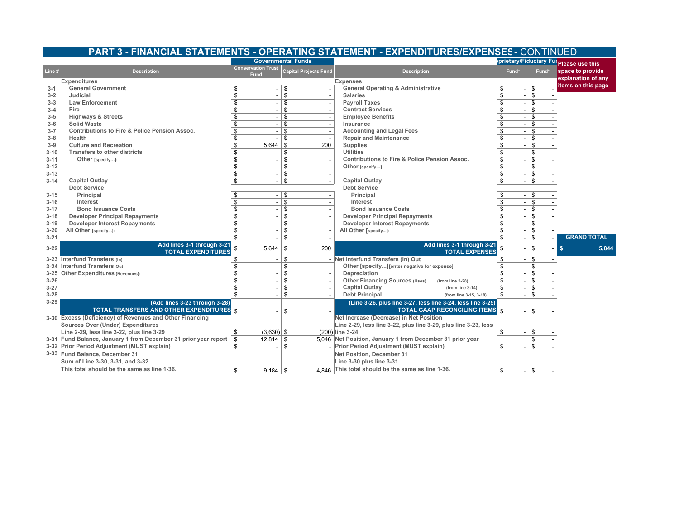#### **PART 3 - FINANCIAL STATEMENTS - OPERATING STATEMENT - EXPENDITURES/EXPENSES** - CONTINUED

|          |                                                                 | <b>Governmental Funds</b>         |                              |                                                                 |                                |       | prietary/Fiduciary Ful Please use this |
|----------|-----------------------------------------------------------------|-----------------------------------|------------------------------|-----------------------------------------------------------------|--------------------------------|-------|----------------------------------------|
| Line #   | <b>Description</b>                                              | <b>Conservation Trust</b><br>Fund | <b>Capital Projects Fund</b> | <b>Description</b>                                              | Fund*                          | Fund* | space to provide                       |
|          | <b>Expenditures</b>                                             |                                   |                              | <b>Expenses</b>                                                 |                                |       | explanation of any                     |
| $3 - 1$  | <b>General Government</b>                                       | S<br>$\overline{\phantom{a}}$     | \$                           | <b>General Operating &amp; Administrative</b>                   | \$<br>$\overline{\phantom{a}}$ | \$    | items on this page                     |
| $3 - 2$  | Judicial                                                        | \$                                | \$                           | <b>Salaries</b>                                                 | \$<br>÷,                       | \$    |                                        |
| $3 - 3$  | <b>Law Enforcement</b>                                          | \$<br>$\overline{\phantom{a}}$    | $\mathfrak{s}$               | <b>Payroll Taxes</b>                                            | \$<br>$\overline{\phantom{a}}$ | \$    |                                        |
| $3 - 4$  | Fire                                                            | \$                                | \$                           | <b>Contract Services</b>                                        | $\overline{\mathbf{s}}$        | \$    |                                        |
| $3 - 5$  | <b>Highways &amp; Streets</b>                                   | \$                                | \$                           | <b>Employee Benefits</b>                                        | \$                             | \$    |                                        |
| $3 - 6$  | <b>Solid Waste</b>                                              | \$<br>$\overline{\phantom{a}}$    | \$                           | Insurance                                                       | \$<br>$\overline{\phantom{a}}$ | \$    |                                        |
| $3 - 7$  | <b>Contributions to Fire &amp; Police Pension Assoc.</b>        | \$                                | \$                           | <b>Accounting and Legal Fees</b>                                | \$                             | \$    |                                        |
| $3 - 8$  | Health                                                          | \$                                | \$                           | <b>Repair and Maintenance</b>                                   | \$                             | \$    |                                        |
| $3-9$    | <b>Culture and Recreation</b>                                   | \$<br>5,644                       | 200<br>-\$                   | <b>Supplies</b>                                                 | \$<br>$\overline{\phantom{a}}$ | \$    |                                        |
| $3 - 10$ | <b>Transfers to other districts</b>                             | \$                                | \$                           | <b>Utilities</b>                                                | \$                             | \$    |                                        |
| $3 - 11$ | Other [specify]:                                                | \$                                | \$                           | <b>Contributions to Fire &amp; Police Pension Assoc.</b>        | \$                             | \$    |                                        |
| $3 - 12$ |                                                                 | \$                                | \$                           | Other [specify]                                                 | \$<br>$\overline{\phantom{a}}$ | 5     |                                        |
| $3 - 13$ |                                                                 | \$<br>$\overline{\phantom{a}}$    | $\mathbf{s}$                 |                                                                 | \$<br>$\overline{\phantom{a}}$ | \$    |                                        |
| $3 - 14$ | <b>Capital Outlay</b>                                           | \$                                | \$                           | <b>Capital Outlay</b>                                           | \$                             | \$    |                                        |
|          | <b>Debt Service</b>                                             |                                   |                              | <b>Debt Service</b>                                             |                                |       |                                        |
| $3 - 15$ | Principal                                                       | \$                                | - \$                         | Principal                                                       | -\$                            | ∣\$   |                                        |
| $3 - 16$ | Interest                                                        | \$                                | $\mathfrak{s}$               | Interest                                                        | \$                             | \$    |                                        |
| $3 - 17$ | <b>Bond Issuance Costs</b>                                      | \$                                | \$                           | <b>Bond Issuance Costs</b>                                      |                                | \$    |                                        |
| $3 - 18$ | <b>Developer Principal Repayments</b>                           | \$                                | \$                           | <b>Developer Principal Repayments</b>                           | \$                             | \$    |                                        |
| $3 - 19$ | <b>Developer Interest Repayments</b>                            | \$                                | \$                           | <b>Developer Interest Repayments</b>                            | \$                             | \$    |                                        |
| $3 - 20$ | All Other [specify]:                                            | \$                                | \$                           | All Other [specify]:                                            | \$                             | \$    |                                        |
| $3 - 21$ |                                                                 | \$                                | \$                           |                                                                 | \$                             | \$    | <b>GRAND TOTAL</b>                     |
| $3 - 22$ | Add lines 3-1 through 3-21<br><b>TOTAL EXPENDITURES</b>         | $5.644$ \ \$                      | 200                          | Add lines 3-1 through 3-21<br><b>TOTAL EXPENSES</b>             |                                | \$    | s.<br>5,844                            |
|          | 3-23 Interfund Transfers (In)                                   | \$<br>$\overline{\phantom{a}}$    | \$                           | - Net Interfund Transfers (In) Out                              | \$<br>$\overline{\phantom{a}}$ | \$    |                                        |
|          | 3-24 Interfund Transfers Out                                    | \$                                | \$                           | Other [specify] [enter negative for expense]                    | \$                             | \$    |                                        |
|          | 3-25 Other Expenditures (Revenues):                             | \$                                | $\mathfrak{s}$               | Depreciation                                                    |                                | \$    |                                        |
| $3 - 26$ |                                                                 | \$<br>$\overline{\phantom{0}}$    | \$                           | Other Financing Sources (Uses)<br>(from line 2-28)              | \$<br>$\overline{\phantom{a}}$ | \$    |                                        |
| $3 - 27$ |                                                                 | \$                                | \$                           | <b>Capital Outlay</b><br>(from line $3-14$ )                    | \$                             | \$    |                                        |
| $3 - 28$ |                                                                 | \$                                | \$                           | <b>Debt Principal</b><br>(from line 3-15, 3-18)                 | \$                             | \$    |                                        |
| $3 - 29$ | (Add lines 3-23 through 3-28)                                   |                                   |                              | (Line 3-26, plus line 3-27, less line 3-24, less line 3-25)     |                                |       |                                        |
|          | TOTAL TRANSFERS AND OTHER EXPENDITURES \$                       |                                   | \$                           | <b>TOTAL GAAP RECONCILING ITEMS \$</b>                          |                                | \$    |                                        |
|          | 3-30 Excess (Deficiency) of Revenues and Other Financing        |                                   |                              | Net Increase (Decrease) in Net Position                         |                                |       |                                        |
|          | <b>Sources Over (Under) Expenditures</b>                        |                                   |                              | Line 2-29, less line 3-22, plus line 3-29, plus line 3-23, less |                                |       |                                        |
|          | Line 2-29, less line 3-22, plus line 3-29                       | $(3,630)$ \$<br>\$                |                              | (200) line 3-24                                                 | \$                             | \$    |                                        |
|          | 3-31 Fund Balance, January 1 from December 31 prior year report | \$<br>$12,814$ \ \$               |                              | 5.046 Net Position, January 1 from December 31 prior year       |                                | \$    |                                        |
|          | 3-32 Prior Period Adjustment (MUST explain)                     | \$                                | \$                           | Prior Period Adjustment (MUST explain)                          | \$                             | \$    |                                        |
|          | 3-33 Fund Balance, December 31                                  |                                   |                              | Net Position, December 31                                       |                                |       |                                        |
|          | Sum of Line 3-30, 3-31, and 3-32                                |                                   |                              | Line 3-30 plus line 3-31                                        |                                |       |                                        |
|          | This total should be the same as line 1-36.                     |                                   |                              | 4,846 This total should be the same as line 1-36.               |                                |       |                                        |
|          |                                                                 | $9,184$   \$<br>\$                |                              |                                                                 | \$<br>$\overline{\phantom{a}}$ | \$    |                                        |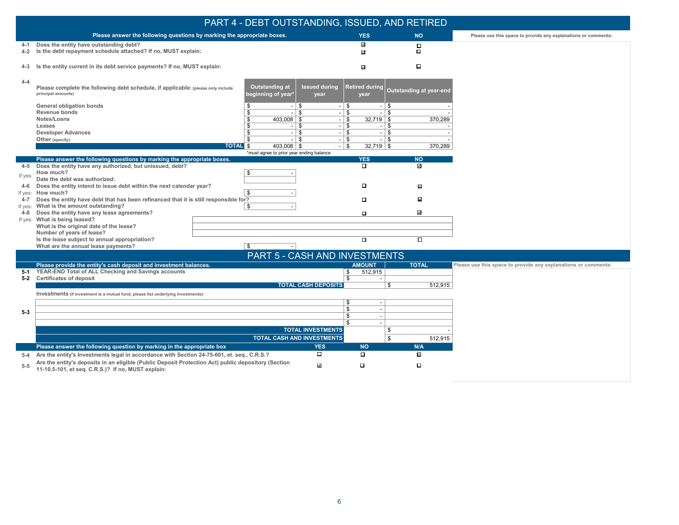|         |                                                                                                                                                                      | PART 4 - DEBT OUTSTANDING, ISSUED, AND RETIRED |                                  |                                                     |                         |                                                                |
|---------|----------------------------------------------------------------------------------------------------------------------------------------------------------------------|------------------------------------------------|----------------------------------|-----------------------------------------------------|-------------------------|----------------------------------------------------------------|
|         | Please answer the following questions by marking the appropriate boxes.                                                                                              |                                                |                                  | <b>YES</b>                                          | <b>NO</b>               | Please use this space to provide any explanations or comments: |
| $4 - 1$ | Does the entity have outstanding debt?                                                                                                                               |                                                |                                  | $\checkmark$                                        | $\Box$                  |                                                                |
| $4 - 2$ | Is the debt repayment schedule attached? If no, MUST explain:                                                                                                        |                                                |                                  | $\checkmark$                                        | о                       |                                                                |
|         | 4-3 Is the entity current in its debt service payments? If no, MUST explain:                                                                                         |                                                |                                  | $\overline{\phantom{a}}$                            | $\Box$                  |                                                                |
| $4 - 4$ | Please complete the following debt schedule, if applicable: (please only include<br>principal amounts)                                                               | Outstanding at<br>beginning of year*           | <b>Issued during</b><br>year     | <b>Retired during</b><br>year                       | Outstanding at year-end |                                                                |
|         | <b>General obligation bonds</b>                                                                                                                                      | $-1$ \$                                        | \$<br>$\blacksquare$             | \$<br>$\sim$                                        |                         |                                                                |
|         | <b>Revenue bonds</b>                                                                                                                                                 | $-1$ \$<br>\$                                  | <b>S</b><br>$\sim$               | \$<br>$\overline{\phantom{a}}$                      |                         |                                                                |
|         | Notes/Loans<br>Leases                                                                                                                                                | $403,008$   \$<br>$-1$ \$                      | \$<br>  \$                       | $32,719$ \ \$<br>\$<br>$\overline{\phantom{a}}$     | 370,289                 |                                                                |
|         | <b>Developer Advances</b>                                                                                                                                            | $\mathbf{\hat{S}}$<br>$-1$ \$                  | l \$<br>$\sim$                   | $\overline{\mathbf{s}}$<br>$\overline{\phantom{a}}$ |                         |                                                                |
|         | Other (specify):                                                                                                                                                     | $-1$ \$<br>\$                                  | \$<br>$\overline{\phantom{a}}$   | \$<br>$\overline{a}$                                |                         |                                                                |
|         | <b>TOTAL</b> \$                                                                                                                                                      | $403,008$   \$                                 | \$                               | $32,719$ \\$                                        | 370,289                 |                                                                |
|         | Please answer the following questions by marking the appropriate boxes.                                                                                              | *must agree to prior year ending balance       |                                  | <b>YES</b>                                          | <b>NO</b>               |                                                                |
| 4-5     | Does the entity have any authorized, but unissued, debt?                                                                                                             |                                                |                                  |                                                     | $\checkmark$            |                                                                |
|         | How much?                                                                                                                                                            | $\mathbf{\hat{S}}$                             |                                  |                                                     |                         |                                                                |
| If yes: | Date the debt was authorized:                                                                                                                                        |                                                |                                  |                                                     |                         |                                                                |
| 4-6     | Does the entity intend to issue debt within the next calendar year?                                                                                                  |                                                |                                  | $\Box$                                              | $\mathcal{L}$           |                                                                |
| $4 - 7$ | If yes: How much?<br>Does the entity have debt that has been refinanced that it is still responsible for?                                                            | \$                                             |                                  | $\Box$                                              | $\checkmark$            |                                                                |
| If yes: | What is the amount outstanding?                                                                                                                                      | \$                                             |                                  |                                                     |                         |                                                                |
| 4-8     | Does the entity have any lease agreements?                                                                                                                           |                                                |                                  | $\Box$                                              | $\checkmark$            |                                                                |
|         | If yes: What is being leased?                                                                                                                                        |                                                |                                  |                                                     |                         |                                                                |
|         | What is the original date of the lease?                                                                                                                              |                                                |                                  |                                                     |                         |                                                                |
|         | Number of years of lease?<br>Is the lease subject to annual appropriation?                                                                                           |                                                |                                  | $\Box$                                              | $\overline{\Box}$       |                                                                |
|         | What are the annual lease payments?                                                                                                                                  | \$                                             |                                  |                                                     |                         |                                                                |
|         |                                                                                                                                                                      | <b>PART 5 - CASH AND INVESTMENTS</b>           |                                  |                                                     |                         |                                                                |
|         | Please provide the entity's cash deposit and investment balances.                                                                                                    |                                                |                                  | <b>AMOUNT</b>                                       | <b>TOTAL</b>            | Please use this space to provide any explanations or comments: |
| 5-1     | YEAR-END Total of ALL Checking and Savings accounts                                                                                                                  |                                                | \$                               | 512,915                                             |                         |                                                                |
|         | 5-2 Certificates of deposit                                                                                                                                          |                                                | \$<br><b>TOTAL CASH DEPOSITS</b> | \$                                                  | 512,915                 |                                                                |
|         | Investments (if investment is a mutual fund, please list underlying investments):                                                                                    |                                                |                                  |                                                     |                         |                                                                |
|         |                                                                                                                                                                      |                                                | \$                               | $\overline{\phantom{a}}$                            |                         |                                                                |
| $5-3$   |                                                                                                                                                                      |                                                | \$                               | $\overline{\phantom{a}}$                            |                         |                                                                |
|         |                                                                                                                                                                      |                                                | \$                               | $\overline{\phantom{a}}$                            |                         |                                                                |
|         |                                                                                                                                                                      |                                                | $\mathbf{s}$                     |                                                     |                         |                                                                |
|         |                                                                                                                                                                      |                                                | <b>TOTAL INVESTMENTS</b>         | \$                                                  |                         |                                                                |
|         |                                                                                                                                                                      | <b>TOTAL CASH AND INVESTMENTS</b>              |                                  | \$                                                  | 512,915                 |                                                                |
|         | Please answer the following question by marking in the appropriate box<br>Are the entity's Investments legal in accordance with Section 24-75-601, et. seq., C.R.S.? |                                                | <b>YES</b><br>$\Box$             | <b>NO</b><br>$\Box$                                 | N/A<br>$\checkmark$     |                                                                |
| $5-4$   | Are the entity's deposits in an eligible (Public Deposit Protection Act) public depository (Section                                                                  |                                                |                                  |                                                     |                         |                                                                |
| $5 - 5$ | 11-10.5-101, et seq. C.R.S.)? If no, MUST explain:                                                                                                                   |                                                | $\mathcal{L}$                    | $\Box$                                              | П                       |                                                                |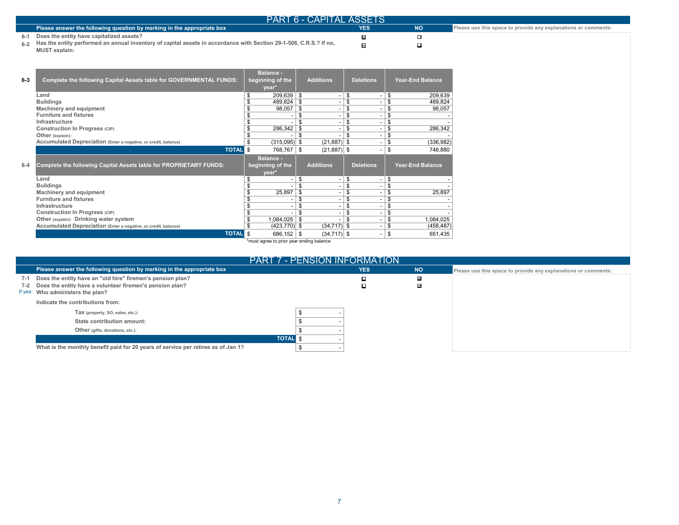| <b>PART 6 - CAPITAL ASSETS</b>                                                                                         |            |    |                                                                |  |  |  |  |  |
|------------------------------------------------------------------------------------------------------------------------|------------|----|----------------------------------------------------------------|--|--|--|--|--|
| Please answer the following question by marking in the appropriate box                                                 | <b>YES</b> | NΟ | Please use this space to provide any explanations or comments: |  |  |  |  |  |
| 6-1 Does the entity have capitalized assets?                                                                           |            |    |                                                                |  |  |  |  |  |
| 6.2 Has the entity performed an annual inventory of capital assets in accordance with Section 29-1-506, C.R.S.? If no, |            |    |                                                                |  |  |  |  |  |
| <b>MUST</b> explain:                                                                                                   |            |    |                                                                |  |  |  |  |  |

| $6 - 3$ | <b>Complete the following Capital Assets table for GOVERNMENTAL FUNDS:</b>      | <b>Balance -</b><br>beginning of the<br>year* | <b>Additions</b>     | <b>Deletions</b> | <b>Year-End Balance</b> |
|---------|---------------------------------------------------------------------------------|-----------------------------------------------|----------------------|------------------|-------------------------|
|         | Land                                                                            | 209,639                                       | -\$                  | \$               | \$<br>209.639           |
|         | <b>Buildings</b>                                                                | 489,824                                       | -\$                  | \$               | \$<br>489,824           |
|         | <b>Machinery and equipment</b>                                                  | 98,057                                        | \$                   | \$               | \$<br>98,057            |
|         | <b>Furniture and fixtures</b>                                                   |                                               | S                    | \$               | \$                      |
|         | Infrastructure                                                                  |                                               | \$                   | \$               | \$                      |
|         | Construction In Progress (CIP)                                                  | 286,342                                       | \$                   | \$               | 286,342<br>\$           |
|         | Other (explain):                                                                |                                               | \$                   | \$               | \$                      |
|         | Accumulated Depreciation (Enter a negative, or credit, balance)                 | $(315,095)$ \$                                | $(21, 887)$ \$       |                  | (336, 982)<br>\$        |
|         | <b>TOTAL</b>                                                                    | \$<br>768,767                                 | $(21, 887)$ \$<br>\$ |                  | \$<br>746,880           |
|         |                                                                                 |                                               |                      |                  |                         |
|         |                                                                                 | <b>Balance -</b>                              |                      |                  |                         |
| $6 - 4$ | Complete the following Capital Assets table for PROPRIETARY FUNDS:              | beginning of the                              | <b>Additions</b>     | <b>Deletions</b> | <b>Year-End Balance</b> |
|         |                                                                                 | year*                                         |                      |                  |                         |
|         | Land                                                                            | S                                             | \$                   | \$               | \$                      |
|         | <b>Buildings</b>                                                                |                                               |                      | \$               | £                       |
|         | <b>Machinery and equipment</b>                                                  | 25,897                                        | \$                   | \$               | 25,897<br>£             |
|         | <b>Furniture and fixtures</b>                                                   |                                               | S                    | \$               | \$                      |
|         | Infrastructure                                                                  |                                               | \$                   | \$               | \$                      |
|         | Construction In Progress (CIP)                                                  |                                               | \$                   | \$               | \$                      |
|         | Other (explain): Drinking water system                                          | 1,084,025                                     | -\$                  | \$               | 1,084,025<br>\$         |
|         | Accumulated Depreciation (Enter a negative, or credit, balance)<br><b>TOTAL</b> | $(423, 770)$ \$                               | $(34, 717)$ \$       |                  | \$<br>(458, 487)        |

 $\mathbb{R}^2$ 

\*must agree to prior year ending balance

| <b>PART 7 - PENSION INFORMATION</b>                                                                                                                                            |  |            |           |                                                                |
|--------------------------------------------------------------------------------------------------------------------------------------------------------------------------------|--|------------|-----------|----------------------------------------------------------------|
| Please answer the following question by marking in the appropriate box                                                                                                         |  | <b>YES</b> | <b>NO</b> | Please use this space to provide any explanations or comments: |
| Does the entity have an "old hire" firemen's pension plan?<br>$7-1$<br>Does the entity have a volunteer firemen's pension plan?<br>7-2<br>Who administers the plan?<br>If yes: |  |            | V<br>V    |                                                                |
| Indicate the contributions from:                                                                                                                                               |  |            |           |                                                                |
| Tax (property, SO, sales, etc.):                                                                                                                                               |  |            |           |                                                                |
| State contribution amount:                                                                                                                                                     |  |            |           |                                                                |
| Other (gifts, donations, etc.):                                                                                                                                                |  |            |           |                                                                |
| <b>TOTAL</b>                                                                                                                                                                   |  |            |           |                                                                |
| What is the monthly benefit paid for 20 years of service per retiree as of Jan 1?                                                                                              |  |            |           |                                                                |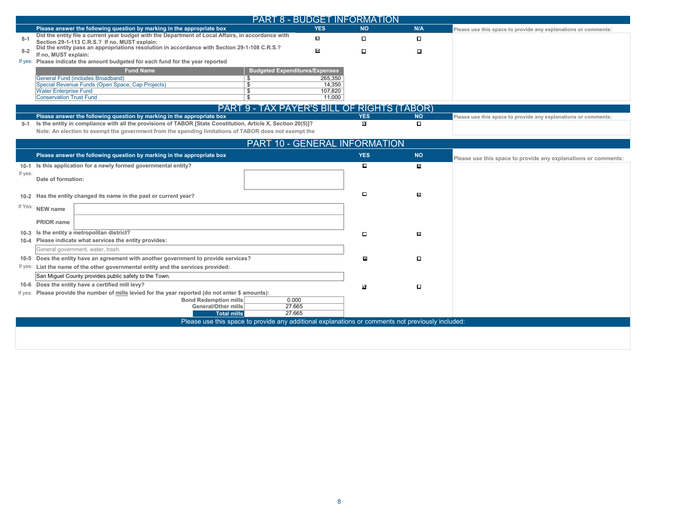|         | <b>PART 8 - BUDGET INFORMATION</b>                                                                                                                                                     |              |                            |                     |                                                                |
|---------|----------------------------------------------------------------------------------------------------------------------------------------------------------------------------------------|--------------|----------------------------|---------------------|----------------------------------------------------------------|
|         | Please answer the following question by marking in the appropriate box                                                                                                                 | <b>YES</b>   | <b>NO</b>                  | N/A                 | Please use this space to provide any explanations or comments: |
| $8 - 1$ | Did the entity file a current year budget with the Department of Local Affairs, in accordance with                                                                                     | $\checkmark$ | О                          | П.                  |                                                                |
|         | Section 29-1-113 C.R.S.? If no. MUST explain:<br>Did the entity pass an appropriations resolution in accordance with Section 29-1-108 C.R.S.?                                          | $\checkmark$ |                            |                     |                                                                |
| $8 - 2$ | If no, MUST explain:                                                                                                                                                                   |              | $\Box$                     | $\Box$              |                                                                |
|         | If yes: Please indicate the amount budgeted for each fund for the year reported                                                                                                        |              |                            |                     |                                                                |
|         | <b>Fund Name</b><br><b>Budgeted Expenditures/Expenses</b><br>General Fund (includes Broadband)<br>$\overline{\mathcal{S}}$                                                             | 265,350      |                            |                     |                                                                |
|         | Special Revenue Funds (Open Space, Cap Projects)<br>$\overline{\mathcal{S}}$                                                                                                           | 14,350       |                            |                     |                                                                |
|         | <b>Water Enterprise Fund</b><br>$\overline{s}$                                                                                                                                         | 107,820      |                            |                     |                                                                |
|         | <b>Conservation Trust Fund</b><br>\$                                                                                                                                                   | 11,000       |                            |                     |                                                                |
|         | PART 9 - TAX PAYER'S BILL OF RIGHTS (TABOR)                                                                                                                                            |              |                            |                     |                                                                |
| $9 - 1$ | Please answer the following question by marking in the appropriate box<br>Is the entity in compliance with all the provisions of TABOR [State Constitution, Article X, Section 20(5)]? |              | <b>YES</b><br>$\checkmark$ | <b>NO</b><br>$\Box$ | Please use this space to provide any explanations or comments: |
|         | Note: An election to exempt the government from the spending limitations of TABOR does not exempt the                                                                                  |              |                            |                     |                                                                |
|         |                                                                                                                                                                                        |              |                            |                     |                                                                |
|         | <b>PART 10 - GENERAL INFORMATION</b>                                                                                                                                                   |              |                            |                     |                                                                |
|         | Please answer the following question by marking in the appropriate box                                                                                                                 |              | <b>YES</b>                 | <b>NO</b>           | Please use this space to provide any explanations or comments: |
|         | 10-1 Is this application for a newly formed governmental entity?                                                                                                                       |              | О                          | M                   |                                                                |
| If yes: | Date of formation:                                                                                                                                                                     |              |                            |                     |                                                                |
|         |                                                                                                                                                                                        |              |                            |                     |                                                                |
|         | 10-2 Has the entity changed its name in the past or current year?                                                                                                                      |              | О                          | N                   |                                                                |
|         | If Yes: NEW name                                                                                                                                                                       |              |                            |                     |                                                                |
|         |                                                                                                                                                                                        |              |                            |                     |                                                                |
|         | <b>PRIOR</b> name                                                                                                                                                                      |              |                            |                     |                                                                |
|         | 10-3 Is the entity a metropolitan district?                                                                                                                                            |              | $\Box$                     | N                   |                                                                |
|         | 10-4 Please indicate what services the entity provides:                                                                                                                                |              |                            |                     |                                                                |
|         | General government, water, trash.                                                                                                                                                      |              |                            |                     |                                                                |
|         | 10-5 Does the entity have an agreement with another government to provide services?                                                                                                    |              | $\overline{\mathbf{v}}$    | П.                  |                                                                |
|         | If yes: List the name of the other governmental entity and the services provided:                                                                                                      |              |                            |                     |                                                                |
|         | San Miguel County provides public safety to the Town.                                                                                                                                  |              |                            |                     |                                                                |
|         | 10-6 Does the entity have a certified mill levy?                                                                                                                                       |              | ⊽                          | □                   |                                                                |
|         | If yes: Please provide the number of mills levied for the year reported (do not enter \$ amounts):<br><b>Bond Redemption mills</b><br>0.000                                            |              |                            |                     |                                                                |
|         | <b>General/Other mills</b><br>27.665                                                                                                                                                   |              |                            |                     |                                                                |
|         | <b>Total mills</b><br>27.665                                                                                                                                                           |              |                            |                     |                                                                |
|         | Please use this space to provide any additional explanations or comments not previously included:                                                                                      |              |                            |                     |                                                                |
|         |                                                                                                                                                                                        |              |                            |                     |                                                                |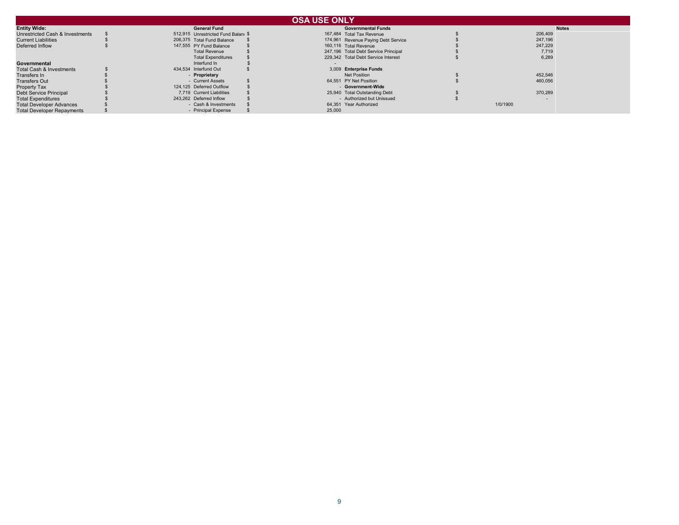|                                   |                                    | <b>OSA USE ONLY</b>                  |          |              |
|-----------------------------------|------------------------------------|--------------------------------------|----------|--------------|
| <b>Entity Wide:</b>               | <b>General Fund</b>                | <b>Governmental Funds</b>            |          | <b>Notes</b> |
| Unrestricted Cash & Investments   | 512.915 Unrestricted Fund Balan \$ | 167.484 Total Tax Revenue            | 206,409  |              |
| <b>Current Liabilities</b>        | 206,375 Total Fund Balance         | 174,961 Revenue Paying Debt Service  | 247,196  |              |
| Deferred Inflow                   | 147,555 PY Fund Balance            | 160,116 Total Revenue                | 247.229  |              |
|                                   | <b>Total Revenue</b>               | 247,196 Total Debt Service Principal | 7,719    |              |
|                                   | <b>Total Expenditures</b>          | 229.342 Total Debt Service Interest  | 6.289    |              |
| Governmental                      | Interfund In                       |                                      |          |              |
| Total Cash & Investments          | 434,534 Interfund Out              | 3,009 Enterprise Funds               |          |              |
| Transfers In                      | - Proprietary                      | Net Position                         | 452,546  |              |
| <b>Transfers Out</b>              | - Current Assets                   | 64,551 PY Net Position               | 460,056  |              |
| Property Tax                      | 124,125 Deferred Outflow           | - Government-Wide                    |          |              |
| Debt Service Principal            | 7,719 Current Liabilities          | 25,940 Total Outstanding Debt        | 370.289  |              |
| <b>Total Expenditures</b>         | 243,262 Deferred Inflow            | - Authorized but Unissued            |          |              |
| <b>Total Developer Advances</b>   | - Cash & Investments               | 64.351 Year Authorized               | 1/0/1900 |              |
| <b>Total Developer Repayments</b> | - Principal Expense                | 25,000                               |          |              |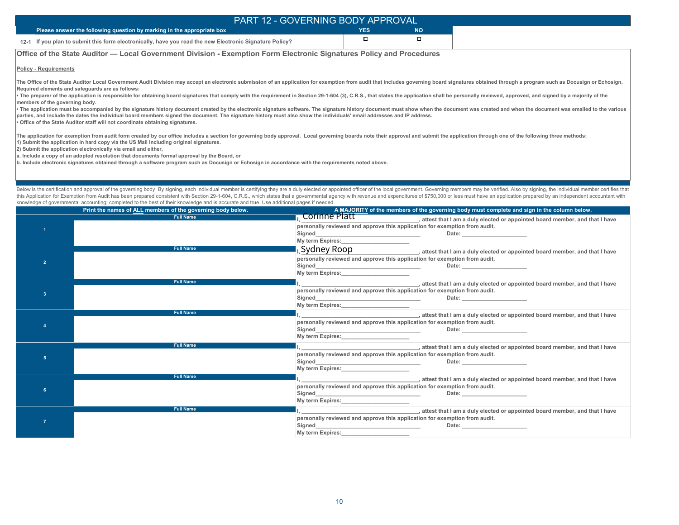| PART 12 - GOVERNING BODY APPROVAL                                                                       |        |           |  |
|---------------------------------------------------------------------------------------------------------|--------|-----------|--|
| Please answer the following question by marking in the appropriate box                                  | YES    | <b>NO</b> |  |
| 12-1 If you plan to submit this form electronically, have you read the new Electronic Signature Policy? | $\Box$ |           |  |

#### **Office of the State Auditor — Local Government Division - Exemption Form Electronic Signatures Policy and Procedures**

**Policy - Requirements**

The Office of the State Auditor Local Government Audit Division may accept an electronic submission of an application for exemption from audit that includes governing board signatures obtained through a program such as Doc **Required elements and safeguards are as follows:**

. The preparer of the application is responsible for obtaining board signatures that comply with the requirement in Section 29-1-604 (3), C.R.S., that states the application shall be personally reviewed, approved, and sign **members of the governing body.**

The application must be accompanied by the signature history document created by the electronic signature software. The signature history document must show when the document was created and when the document was emailed t **parties, and include the dates the individual board members signed the document. The signature history must also show the individuals' email addresses and IP address. • Office of the State Auditor staff will not coordinate obtaining signatures.**

The application for exemption from audit form created by our office includes a section for governing body approval. Local governing boards note their approval and submit the application through one of the following three m **1) Submit the application in hard copy via the US Mail including original signatures.** 

**2) Submit the application electronically via email and either,**

**a. Include a copy of an adopted resolution that documents formal approval by the Board, or**

**b. Include electronic signatures obtained through a software program such as Docusign or Echosign in accordance with the requirements noted above.**

Below is the certification and approval of the governing body By signing, each individual member is certifying they are a duly elected or appointed officer of the local government. Governing members may be verified. Also b this Application for Exemption from Audit has been prepared consistent with Section 29-1-604, C.R.S., which states that a governmental agency with revenue and expenditures of \$750,000 or less must have an application prepa knowledge of governmental accounting; completed to the best of their knowledge and is accurate and true. Use additional pages if needed.

|    | Print the names of ALL members of the governing body below. | A MAJORITY of the members of the governing body must complete and sign in the column below.                                                                                                                                                                        |
|----|-------------------------------------------------------------|--------------------------------------------------------------------------------------------------------------------------------------------------------------------------------------------------------------------------------------------------------------------|
|    | <b>Full Name</b>                                            | Corinne Platt enter that I am a duly elected or appointed board member, and that I have                                                                                                                                                                            |
|    |                                                             | personally reviewed and approve this application for exemption from audit.                                                                                                                                                                                         |
|    |                                                             |                                                                                                                                                                                                                                                                    |
|    |                                                             | My term Expires: 1990 My term Expires:                                                                                                                                                                                                                             |
|    | <b>Full Name</b>                                            | $\sim$ Sydney Roop states that I am a duly elected or appointed board member, and that I have                                                                                                                                                                      |
|    |                                                             | personally reviewed and approve this application for exemption from audit.                                                                                                                                                                                         |
|    |                                                             | Date: <u>Date: Experimental Part of the Second Contract of the Second Contract of the Second Contract of the Second Contract of the Second Contract of the Second Contract of the Second Contract of the Second Contract of the </u>                               |
|    |                                                             | My term Expires: Management of the My term Expires:                                                                                                                                                                                                                |
|    | <b>Full Name</b>                                            | attest that I am a duly elected or appointed board member, and that I have                                                                                                                                                                                         |
| -3 |                                                             | personally reviewed and approve this application for exemption from audit.                                                                                                                                                                                         |
|    |                                                             | Signed Signed and the state of the state of the state of the state of the state of the state of the state of the state of the state of the state of the state of the state of the state of the state of the state of the state<br>Date: __________________________ |
|    | <b>Full Name</b>                                            | My term Expires: Manual Assembly Property and Assembly Property and Assembly Property and Assembly Property and Assembly Property and Assembly Property and Assembly Property and Assembly Property and Assembly Property and                                      |
|    |                                                             | attest that I am a duly elected or appointed board member, and that I have                                                                                                                                                                                         |
|    |                                                             | personally reviewed and approve this application for exemption from audit.                                                                                                                                                                                         |
|    |                                                             | My term Expires: No. 1996. The Second State of the Second State of the Second State of the Second State of the Second State of the Second State of the Second State of the Second State of the Second State of the Second Stat                                     |
|    | <b>Full Name</b>                                            |                                                                                                                                                                                                                                                                    |
|    |                                                             | , attest that I am a duly elected or appointed board member, and that I have<br>personally reviewed and approve this application for exemption from audit.                                                                                                         |
| 5  |                                                             | Signed <u>Signed Signed Signed Signed Signed Signed Signed Signed Signed Signed Signed Signed Signed Signed Signed Signed Signed Signed Signed Signed Signed Signed Signed Signed Signed Signed Signed Signed Signed Signed Sign</u>                               |
|    |                                                             |                                                                                                                                                                                                                                                                    |
|    | <b>Full Name</b>                                            | attest that I am a duly elected or appointed board member, and that I have                                                                                                                                                                                         |
|    |                                                             | personally reviewed and approve this application for exemption from audit.                                                                                                                                                                                         |
|    |                                                             |                                                                                                                                                                                                                                                                    |
|    |                                                             |                                                                                                                                                                                                                                                                    |
|    | <b>Full Name</b>                                            | , attest that I am a duly elected or appointed board member, and that I have                                                                                                                                                                                       |
|    |                                                             | personally reviewed and approve this application for exemption from audit.                                                                                                                                                                                         |
|    |                                                             | Signed Signed and the state of the state of the state of the state of the state of the state of the state of the state of the state of the state of the state of the state of the state of the state of the state of the state                                     |
|    |                                                             |                                                                                                                                                                                                                                                                    |
|    |                                                             |                                                                                                                                                                                                                                                                    |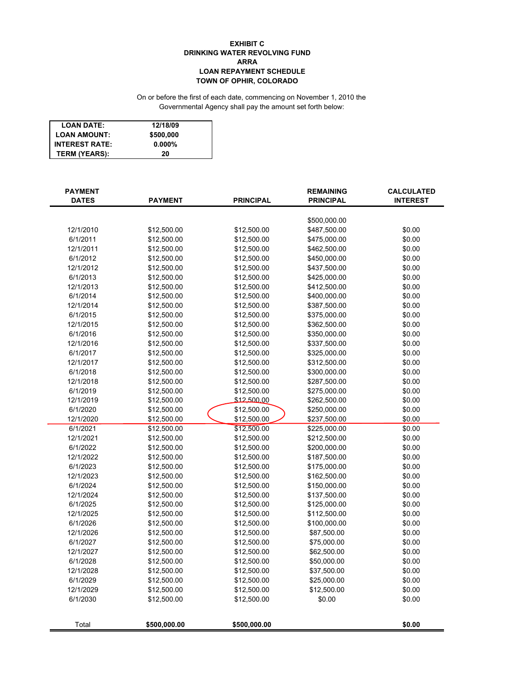#### **EXHIBIT C DRINKING WATER REVOLVING FUND ARRA LOAN REPAYMENT SCHEDULE TOWN OF OPHIR, COLORADO**

#### On or before the first of each date, commencing on November 1, 2010 the Governmental Agency shall pay the amount set forth below:

| <b>LOAN DATE:</b>     | 12/18/09  |
|-----------------------|-----------|
| <b>LOAN AMOUNT:</b>   | \$500,000 |
| <b>INTEREST RATE:</b> | $0.000\%$ |
| <b>TERM (YEARS):</b>  | 20        |

| <b>PAYMENT</b><br><b>DATES</b> | <b>PAYMENT</b> | <b>PRINCIPAL</b> | <b>REMAINING</b><br><b>PRINCIPAL</b> | <b>CALCULATED</b><br><b>INTEREST</b> |
|--------------------------------|----------------|------------------|--------------------------------------|--------------------------------------|
|                                |                |                  |                                      |                                      |
|                                |                |                  | \$500,000.00                         |                                      |
| 12/1/2010                      | \$12,500.00    | \$12,500.00      | \$487,500.00                         | \$0.00                               |
| 6/1/2011                       | \$12,500.00    | \$12,500.00      | \$475,000.00                         | \$0.00                               |
| 12/1/2011                      | \$12,500.00    | \$12,500.00      | \$462,500.00                         | \$0.00                               |
| 6/1/2012                       | \$12,500.00    | \$12,500.00      | \$450,000.00                         | \$0.00                               |
| 12/1/2012                      | \$12,500.00    | \$12,500.00      | \$437,500.00                         | \$0.00                               |
| 6/1/2013                       | \$12,500.00    | \$12,500.00      | \$425,000.00                         | \$0.00                               |
| 12/1/2013                      | \$12,500.00    | \$12,500.00      | \$412,500.00                         | \$0.00                               |
| 6/1/2014                       | \$12,500.00    | \$12,500.00      | \$400,000.00                         | \$0.00                               |
| 12/1/2014                      | \$12,500.00    | \$12,500.00      | \$387,500.00                         | \$0.00                               |
| 6/1/2015                       | \$12,500.00    | \$12,500.00      | \$375,000.00                         | \$0.00                               |
| 12/1/2015                      | \$12,500.00    | \$12,500.00      | \$362,500.00                         | \$0.00                               |
| 6/1/2016                       | \$12,500.00    | \$12,500.00      | \$350,000.00                         | \$0.00                               |
| 12/1/2016                      | \$12,500.00    | \$12,500.00      | \$337,500.00                         | \$0.00                               |
| 6/1/2017                       | \$12,500.00    | \$12,500.00      | \$325,000.00                         | \$0.00                               |
| 12/1/2017                      | \$12,500.00    | \$12,500.00      | \$312,500.00                         | \$0.00                               |
| 6/1/2018                       | \$12,500.00    | \$12,500.00      | \$300,000.00                         | \$0.00                               |
| 12/1/2018                      | \$12,500.00    | \$12,500.00      | \$287,500.00                         | \$0.00                               |
| 6/1/2019                       | \$12,500.00    | \$12,500.00      | \$275,000.00                         | \$0.00                               |
| 12/1/2019                      | \$12,500.00    | \$12,500.00      | \$262,500.00                         | \$0.00                               |
| 6/1/2020                       | \$12,500.00    | \$12,500.00      | \$250,000.00                         | \$0.00                               |
| 12/1/2020                      | \$12,500.00    | \$12,500.00      | \$237,500.00                         | \$0.00                               |
| 6/1/2021                       | \$12,500.00    | \$12,500.00      | \$225,000.00                         | \$0.00                               |
| 12/1/2021                      | \$12,500.00    | \$12,500.00      | \$212,500.00                         | \$0.00                               |
| 6/1/2022                       | \$12,500.00    | \$12,500.00      | \$200,000.00                         | \$0.00                               |
| 12/1/2022                      | \$12,500.00    | \$12,500.00      | \$187,500.00                         | \$0.00                               |
| 6/1/2023                       | \$12,500.00    | \$12,500.00      | \$175,000.00                         | \$0.00                               |
| 12/1/2023                      | \$12,500.00    | \$12,500.00      | \$162,500.00                         | \$0.00                               |
| 6/1/2024                       | \$12,500.00    | \$12,500.00      | \$150,000.00                         | \$0.00                               |
| 12/1/2024                      | \$12,500.00    | \$12,500.00      | \$137,500.00                         | \$0.00                               |
| 6/1/2025                       | \$12,500.00    | \$12,500.00      | \$125,000.00                         | \$0.00                               |
| 12/1/2025                      | \$12,500.00    | \$12,500.00      | \$112,500.00                         | \$0.00                               |
| 6/1/2026                       | \$12,500.00    | \$12,500.00      | \$100,000.00                         | \$0.00                               |
| 12/1/2026                      | \$12,500.00    | \$12,500.00      | \$87,500.00                          | \$0.00                               |
| 6/1/2027                       | \$12,500.00    | \$12,500.00      | \$75,000.00                          | \$0.00                               |
| 12/1/2027                      | \$12,500.00    | \$12,500.00      | \$62,500.00                          | \$0.00                               |
| 6/1/2028                       | \$12,500.00    | \$12,500.00      | \$50,000.00                          | \$0.00                               |
| 12/1/2028                      | \$12,500.00    | \$12,500.00      | \$37,500.00                          | \$0.00                               |
| 6/1/2029                       | \$12,500.00    | \$12,500.00      | \$25,000.00                          | \$0.00                               |
| 12/1/2029                      | \$12,500.00    | \$12,500.00      | \$12,500.00                          | \$0.00                               |
| 6/1/2030                       | \$12,500.00    | \$12,500.00      | \$0.00                               | \$0.00                               |
| Total                          | \$500,000.00   | \$500,000.00     |                                      | \$0.00                               |
|                                |                |                  |                                      |                                      |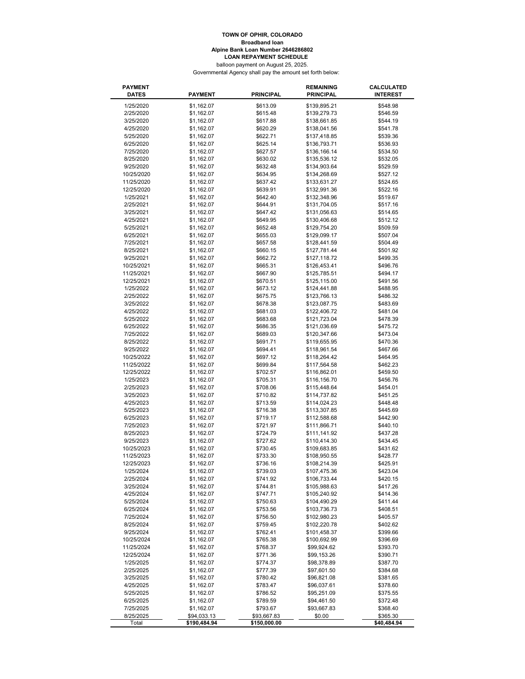#### balloon payment on August 25, 2025. **Broadband loan Alpine Bank Loan Number 2646286802 LOAN REPAYMENT SCHEDULE TOWN OF OPHIR, COLORADO**

Governmental Agency shall pay the amount set forth below:

| <b>PAYMENT</b><br><b>DATES</b> | <b>PAYMENT</b>           | <b>PRINCIPAL</b>     | <b>REMAINING</b><br><b>PRINCIPAL</b> | CALCULATED<br><b>INTEREST</b> |
|--------------------------------|--------------------------|----------------------|--------------------------------------|-------------------------------|
| 1/25/2020                      | \$1,162.07               | \$613.09             | \$139,895.21                         | \$548.98                      |
| 2/25/2020                      | \$1,162.07               | \$615.48             | \$139,279.73                         | \$546.59                      |
| 3/25/2020                      | \$1,162.07               | \$617.88             | \$138,661.85                         | \$544.19                      |
| 4/25/2020                      | \$1,162.07               | \$620.29             | \$138,041.56                         | \$541.78                      |
| 5/25/2020                      | \$1,162.07               | \$622.71             | \$137,418.85                         | \$539.36                      |
| 6/25/2020                      | \$1,162.07               | \$625.14             | \$136,793.71                         | \$536.93                      |
| 7/25/2020                      | \$1,162.07               | \$627.57             | \$136,166.14                         | \$534.50                      |
| 8/25/2020                      | \$1,162.07               | \$630.02             | \$135,536.12                         | \$532.05                      |
| 9/25/2020                      | \$1,162.07               | \$632.48             | \$134,903.64                         | \$529.59                      |
| 10/25/2020                     | \$1,162.07               | \$634.95             | \$134,268.69                         | \$527.12                      |
| 11/25/2020                     | \$1,162.07               | \$637.42             | \$133,631.27                         | \$524.65                      |
| 12/25/2020                     | \$1,162.07               | \$639.91             | \$132,991.36                         | \$522.16                      |
| 1/25/2021                      | \$1,162.07               | \$642.40             | \$132,348.96                         | \$519.67                      |
| 2/25/2021                      | \$1,162.07               | \$644.91             | \$131,704.05                         | \$517.16                      |
| 3/25/2021                      | \$1,162.07               | \$647.42             | \$131,056.63                         | \$514.65                      |
|                                |                          |                      |                                      |                               |
| 4/25/2021                      | \$1,162.07               | \$649.95             | \$130,406.68                         | \$512.12                      |
| 5/25/2021                      | \$1,162.07               | \$652.48             | \$129,754.20                         | \$509.59                      |
| 6/25/2021                      | \$1,162.07               | \$655.03             | \$129,099.17                         | \$507.04                      |
| 7/25/2021                      | \$1,162.07               | \$657.58             | \$128,441.59                         | \$504.49                      |
| 8/25/2021                      | \$1,162.07               | \$660.15             | \$127,781.44                         | \$501.92                      |
| 9/25/2021                      | \$1,162.07               | \$662.72             | \$127,118.72                         | \$499.35                      |
| 10/25/2021                     | \$1,162.07               | \$665.31             | \$126,453.41                         | \$496.76                      |
| 11/25/2021                     | \$1,162.07               | \$667.90             | \$125,785.51                         | \$494.17                      |
| 12/25/2021                     | \$1,162.07               | \$670.51             | \$125,115.00                         | \$491.56                      |
| 1/25/2022                      | \$1,162.07               | \$673.12             | \$124,441.88                         | \$488.95                      |
| 2/25/2022                      | \$1,162.07               | \$675.75             | \$123,766.13                         | \$486.32                      |
| 3/25/2022                      | \$1,162.07               | \$678.38             | \$123,087.75                         | \$483.69                      |
| 4/25/2022                      | \$1,162.07               | \$681.03             | \$122,406.72                         | \$481.04                      |
| 5/25/2022                      | \$1,162.07               | \$683.68             | \$121,723.04                         | \$478.39                      |
| 6/25/2022                      | \$1,162.07               | \$686.35             | \$121,036.69                         | \$475.72                      |
| 7/25/2022                      | \$1,162.07               | \$689.03             | \$120,347.66                         | \$473.04                      |
| 8/25/2022                      | \$1,162.07               | \$691.71             | \$119,655.95                         | \$470.36                      |
| 9/25/2022                      | \$1,162.07               | \$694.41             | \$118,961.54                         | \$467.66                      |
| 10/25/2022                     | \$1,162.07               | \$697.12             | \$118,264.42                         | \$464.95                      |
| 11/25/2022                     | \$1,162.07               | \$699.84             | \$117,564.58                         | \$462.23                      |
| 12/25/2022                     | \$1,162.07               | \$702.57             | \$116,862.01                         | \$459.50                      |
| 1/25/2023                      | \$1,162.07               | \$705.31             | \$116,156.70                         | \$456.76                      |
| 2/25/2023                      | \$1,162.07               | \$708.06             | \$115,448.64                         | \$454.01                      |
| 3/25/2023                      | \$1,162.07               | \$710.82             | \$114,737.82                         | \$451.25                      |
| 4/25/2023                      | \$1,162.07               | \$713.59             | \$114,024.23                         | \$448.48                      |
| 5/25/2023                      | \$1,162.07               | \$716.38             | \$113,307.85                         | \$445.69                      |
| 6/25/2023                      | \$1,162.07               | \$719.17             | \$112,588.68                         | \$442.90                      |
| 7/25/2023                      | \$1,162.07               | \$721.97             | \$111,866.71                         | \$440.10                      |
| 8/25/2023                      | \$1,162.07               | \$724.79             | \$111,141.92                         | \$437.28                      |
| 9/25/2023                      | \$1,162.07               | \$727.62             | \$110,414.30                         | \$434.45                      |
| 10/25/2023                     | \$1,162.07               | \$730.45             | \$109,683.85                         | \$431.62                      |
| 11/25/2023                     | \$1,162.07               | \$733.30             | \$108,950.55                         | \$428.77                      |
| 12/25/2023                     | \$1,162.07               | \$736.16             | \$108,214.39                         | \$425.91                      |
| 1/25/2024                      | \$1,162.07               | \$739.03             | \$107,475.36                         | \$423.04                      |
| 2/25/2024                      | \$1,162.07               | \$741.92             | \$106,733.44                         | \$420.15                      |
| 3/25/2024                      | \$1,162.07               | \$744.81             | \$105,988.63                         | \$417.26                      |
| 4/25/2024                      | \$1,162.07               | \$747.71             | \$105,240.92                         | \$414.36                      |
| 5/25/2024                      | \$1,162.07               | \$750.63             | \$104,490.29                         | \$411.44                      |
| 6/25/2024                      | \$1,162.07               | \$753.56             | \$103,736.73                         | \$408.51                      |
| 7/25/2024                      | \$1,162.07               | \$756.50             | \$102,980.23                         | \$405.57                      |
| 8/25/2024                      | \$1,162.07               | \$759.45             | \$102,220.78                         | \$402.62                      |
| 9/25/2024                      | \$1,162.07               | \$762.41             | \$101,458.37                         | \$399.66                      |
| 10/25/2024                     |                          |                      |                                      | \$396.69                      |
| 11/25/2024                     | \$1,162.07               | \$765.38<br>\$768.37 | \$100,692.99<br>\$99,924.62          | \$393.70                      |
|                                | \$1,162.07               |                      |                                      |                               |
| 12/25/2024                     | \$1,162.07<br>\$1,162.07 | \$771.36             | \$99,153.26                          | \$390.71                      |
| 1/25/2025                      |                          | \$774.37             | \$98,378.89                          | \$387.70                      |
| 2/25/2025                      | \$1,162.07               | \$777.39             | \$97,601.50                          | \$384.68                      |
| 3/25/2025                      | \$1,162.07               | \$780.42             | \$96,821.08                          | \$381.65                      |
| 4/25/2025                      | \$1,162.07               | \$783.47             | \$96,037.61                          | \$378.60                      |
| 5/25/2025                      | \$1,162.07               | \$786.52             | \$95,251.09                          | \$375.55                      |
| 6/25/2025                      | \$1,162.07               | \$789.59             | \$94,461.50                          | \$372.48                      |
| 7/25/2025                      | \$1,162.07               | \$793.67             | \$93,667.83                          | \$368.40                      |
| 8/25/2025                      | \$94,033.13              | \$93,667.83          | \$0.00                               | \$365.30                      |
| Total                          | \$190,484.94             | \$150,000.00         |                                      | \$40,484.94                   |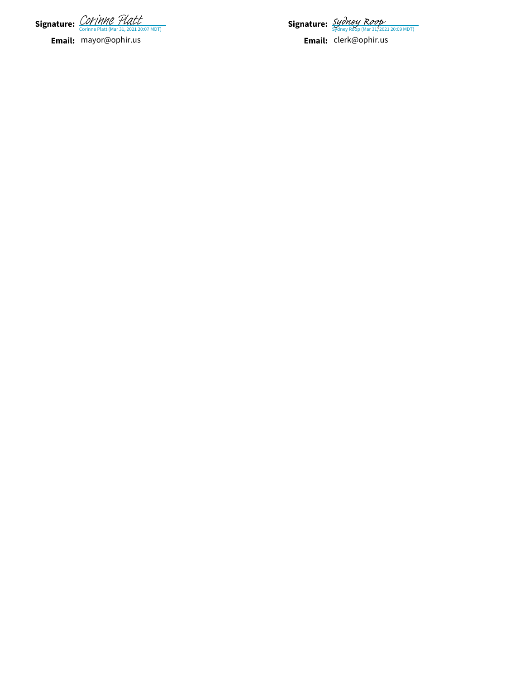**Signature:** *COPTIPIPE TUALL*<br>Corinne Platt (Mar 31, 2021 20:07 MDT) [Corinne Platt](https://na1.documents.adobe.com/verifier?tx=CBJCHBCAABAARbBDAef23MTtnnHFGue9dvx7fG4Q4V4V)

**Email:** mayor@ophir.us

Signature: *[Sydney Roop](https://na1.documents.adobe.com/verifier?tx=CBJCHBCAABAARbBDAef23MTtnnHFGue9dvx7fG4Q4V4V)* 

**Email:** cler k@ophir.us